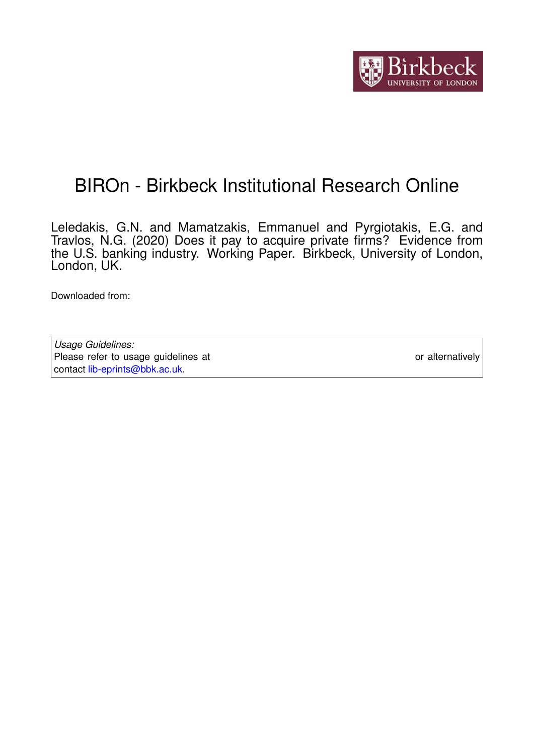

# BIROn - Birkbeck Institutional Research Online

Leledakis, G.N. and Mamatzakis, Emmanuel and Pyrgiotakis, E.G. and Travlos, N.G. (2020) Does it pay to acquire private firms? Evidence from the U.S. banking industry. Working Paper. Birkbeck, University of London, London, UK.

Downloaded from: <https://eprints.bbk.ac.uk/id/eprint/31781/>

*Usage Guidelines:* Please refer to usage guidelines at <https://eprints.bbk.ac.uk/policies.html> or alternatively contact [lib-eprints@bbk.ac.uk.](mailto:lib-eprints@bbk.ac.uk)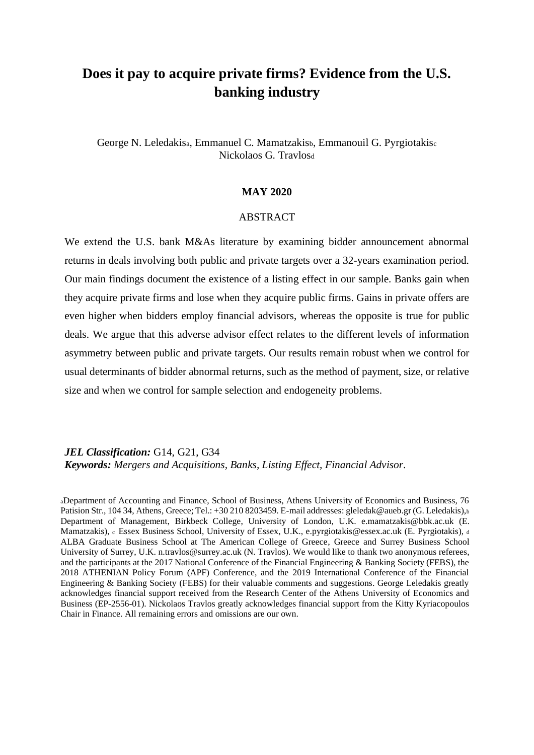## **Does it pay to acquire private firms? Evidence from the U.S. banking industry**

George N. Leledakisa, Emmanuel C. Mamatzakisb, Emmanouil G. Pyrgiotakis<sup>c</sup> Nickolaos G. Travlos<sup>d</sup>

#### **MAY 2020**

#### **ABSTRACT**

We extend the U.S. bank M&As literature by examining bidder announcement abnormal returns in deals involving both public and private targets over a 32-years examination period. Our main findings document the existence of a listing effect in our sample. Banks gain when they acquire private firms and lose when they acquire public firms. Gains in private offers are even higher when bidders employ financial advisors, whereas the opposite is true for public deals. We argue that this adverse advisor effect relates to the different levels of information asymmetry between public and private targets. Our results remain robust when we control for usual determinants of bidder abnormal returns, such as the method of payment, size, or relative size and when we control for sample selection and endogeneity problems.

*JEL Classification:* G14, G21, G34 *Keywords: Mergers and Acquisitions, Banks, Listing Effect, Financial Advisor.*

<sup>a</sup>Department of Accounting and Finance, School of Business, Athens University of Economics and Business, 76 Patision Str., 104 34, Athens, Greece; Tel.: +30 210 8203459. E-mail addresses: gleledak@aueb.gr (G. Leledakis),b Department of Management, Birkbeck College, University of London, U.K. e.mamatzakis@bbk.ac.uk (E. Mamatzakis), c Essex Business School, University of Essex, U.K., e.pyrgiotakis@essex.ac.uk (E. Pyrgiotakis), <sup>d</sup> ALBA Graduate Business School at The American College of Greece, Greece and Surrey Business School University of Surrey, U.K. n.travlos@surrey.ac.uk (N. Travlos). We would like to thank two anonymous referees, and the participants at the 2017 National Conference of the Financial Engineering & Banking Society (FEBS), the 2018 ATHENIAN Policy Forum (APF) Conference, and the 2019 International Conference of the Financial Engineering & Banking Society (FEBS) for their valuable comments and suggestions. George Leledakis greatly acknowledges financial support received from the Research Center of the Athens University of Economics and Business (EP-2556-01). Nickolaos Travlos greatly acknowledges financial support from the Kitty Kyriacopoulos Chair in Finance. All remaining errors and omissions are our own.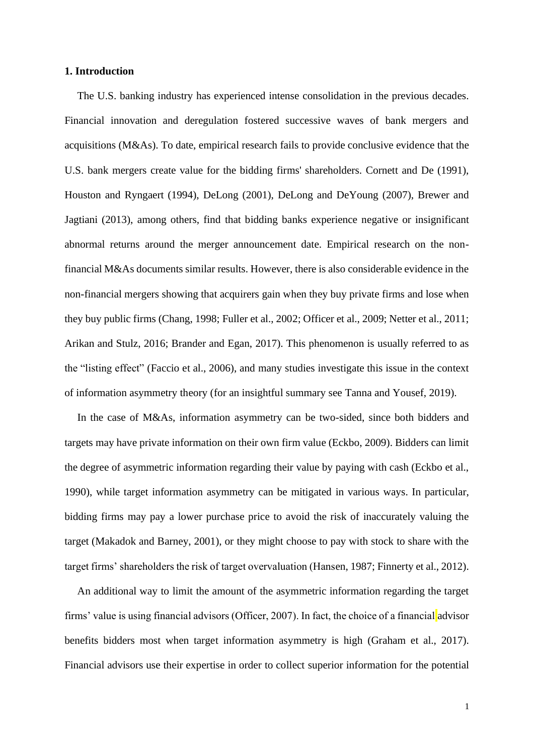## **1. Introduction**

The U.S. banking industry has experienced intense consolidation in the previous decades. Financial innovation and deregulation fostered successive waves of bank mergers and acquisitions (M&As). To date, empirical research fails to provide conclusive evidence that the U.S. bank mergers create value for the bidding firms' shareholders. Cornett and De (1991), Houston and Ryngaert (1994), DeLong (2001), DeLong and DeYoung (2007), Brewer and Jagtiani (2013), among others, find that bidding banks experience negative or insignificant abnormal returns around the merger announcement date. Empirical research on the nonfinancial M&As documents similar results. However, there is also considerable evidence in the non-financial mergers showing that acquirers gain when they buy private firms and lose when they buy public firms (Chang, 1998; Fuller et al., 2002; Officer et al., 2009; Netter et al., 2011; Arikan and Stulz, 2016; Brander and Egan, 2017). This phenomenon is usually referred to as the "listing effect" (Faccio et al., 2006), and many studies investigate this issue in the context of information asymmetry theory (for an insightful summary see Tanna and Yousef, 2019).

In the case of M&As, information asymmetry can be two-sided, since both bidders and targets may have private information on their own firm value (Eckbo, 2009). Bidders can limit the degree of asymmetric information regarding their value by paying with cash (Eckbo et al., 1990), while target information asymmetry can be mitigated in various ways. In particular, bidding firms may pay a lower purchase price to avoid the risk of inaccurately valuing the target (Makadok and Barney, 2001), or they might choose to pay with stock to share with the target firms' shareholders the risk of target overvaluation (Hansen, 1987; Finnerty et al., 2012).

An additional way to limit the amount of the asymmetric information regarding the target firms' value is using financial advisors (Officer, 2007). In fact, the choice of a financial advisor benefits bidders most when target information asymmetry is high (Graham et al., 2017). Financial advisors use their expertise in order to collect superior information for the potential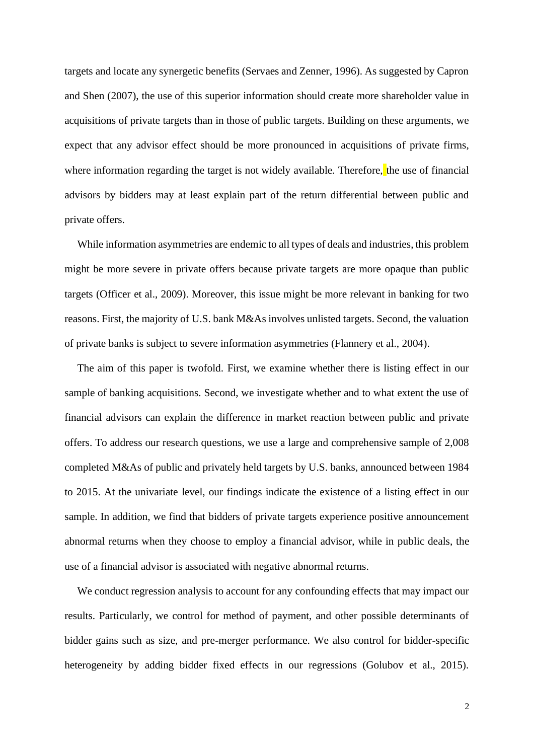targets and locate any synergetic benefits (Servaes and Zenner, 1996). As suggested by Capron and Shen (2007), the use of this superior information should create more shareholder value in acquisitions of private targets than in those of public targets. Building on these arguments, we expect that any advisor effect should be more pronounced in acquisitions of private firms, where information regarding the target is not widely available. Therefore, the use of financial advisors by bidders may at least explain part of the return differential between public and private offers.

While information asymmetries are endemic to all types of deals and industries, this problem might be more severe in private offers because private targets are more opaque than public targets (Officer et al., 2009). Moreover, this issue might be more relevant in banking for two reasons. First, the majority of U.S. bank M&As involves unlisted targets. Second, the valuation of private banks is subject to severe information asymmetries (Flannery et al., 2004).

The aim of this paper is twofold. First, we examine whether there is listing effect in our sample of banking acquisitions. Second, we investigate whether and to what extent the use of financial advisors can explain the difference in market reaction between public and private offers. To address our research questions, we use a large and comprehensive sample of 2,008 completed M&As of public and privately held targets by U.S. banks, announced between 1984 to 2015. At the univariate level, our findings indicate the existence of a listing effect in our sample. In addition, we find that bidders of private targets experience positive announcement abnormal returns when they choose to employ a financial advisor, while in public deals, the use of a financial advisor is associated with negative abnormal returns.

We conduct regression analysis to account for any confounding effects that may impact our results. Particularly, we control for method of payment, and other possible determinants of bidder gains such as size, and pre-merger performance. We also control for bidder-specific heterogeneity by adding bidder fixed effects in our regressions (Golubov et al., 2015).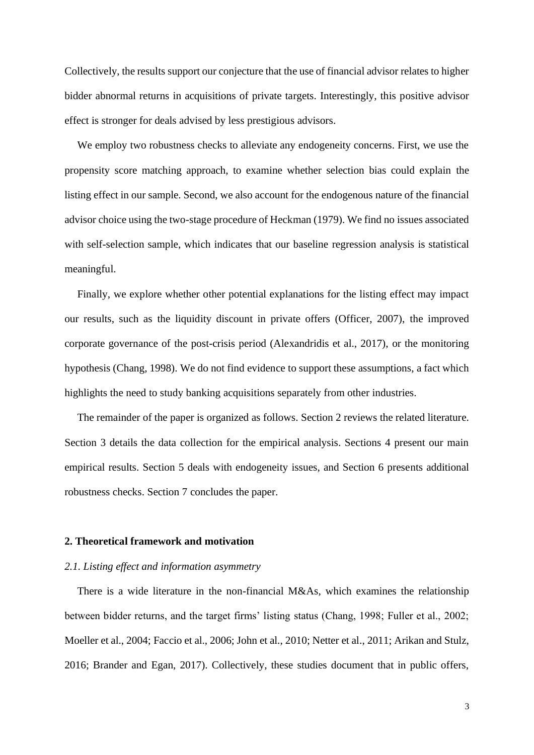Collectively, the results support our conjecture that the use of financial advisor relates to higher bidder abnormal returns in acquisitions of private targets. Interestingly, this positive advisor effect is stronger for deals advised by less prestigious advisors.

We employ two robustness checks to alleviate any endogeneity concerns. First, we use the propensity score matching approach, to examine whether selection bias could explain the listing effect in our sample. Second, we also account for the endogenous nature of the financial advisor choice using the two-stage procedure of Heckman (1979). We find no issues associated with self-selection sample, which indicates that our baseline regression analysis is statistical meaningful.

Finally, we explore whether other potential explanations for the listing effect may impact our results, such as the liquidity discount in private offers (Officer, 2007), the improved corporate governance of the post-crisis period (Alexandridis et al., 2017), or the monitoring hypothesis (Chang, 1998). We do not find evidence to support these assumptions, a fact which highlights the need to study banking acquisitions separately from other industries.

The remainder of the paper is organized as follows. Section 2 reviews the related literature. Section 3 details the data collection for the empirical analysis. Sections 4 present our main empirical results. Section 5 deals with endogeneity issues, and Section 6 presents additional robustness checks. Section 7 concludes the paper.

#### **2. Theoretical framework and motivation**

## *2.1. Listing effect and information asymmetry*

There is a wide literature in the non-financial M&As, which examines the relationship between bidder returns, and the target firms' listing status (Chang, 1998; Fuller et al., 2002; Moeller et al., 2004; Faccio et al., 2006; John et al., 2010; Netter et al., 2011; Arikan and Stulz, 2016; Brander and Egan, 2017). Collectively, these studies document that in public offers,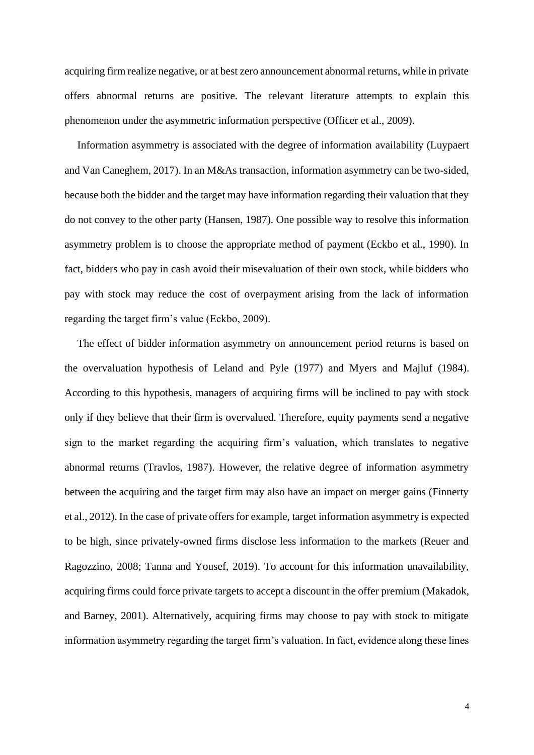acquiring firm realize negative, or at best zero announcement abnormal returns, while in private offers abnormal returns are positive. The relevant literature attempts to explain this phenomenon under the asymmetric information perspective (Officer et al., 2009).

Information asymmetry is associated with the degree of information availability (Luypaert and Van Caneghem, 2017). In an M&As transaction, information asymmetry can be two-sided, because both the bidder and the target may have information regarding their valuation that they do not convey to the other party (Hansen, 1987). One possible way to resolve this information asymmetry problem is to choose the appropriate method of payment (Eckbo et al., 1990). In fact, bidders who pay in cash avoid their misevaluation of their own stock, while bidders who pay with stock may reduce the cost of overpayment arising from the lack of information regarding the target firm's value (Eckbo, 2009).

The effect of bidder information asymmetry on announcement period returns is based on the overvaluation hypothesis of Leland and Pyle (1977) and Myers and Majluf (1984). According to this hypothesis, managers of acquiring firms will be inclined to pay with stock only if they believe that their firm is overvalued. Therefore, equity payments send a negative sign to the market regarding the acquiring firm's valuation, which translates to negative abnormal returns (Travlos, 1987). However, the relative degree of information asymmetry between the acquiring and the target firm may also have an impact on merger gains (Finnerty et al., 2012). In the case of private offers for example, target information asymmetry is expected to be high, since privately-owned firms disclose less information to the markets (Reuer and Ragozzino, 2008; Tanna and Yousef, 2019). To account for this information unavailability, acquiring firms could force private targets to accept a discount in the offer premium (Makadok, and Barney, 2001). Alternatively, acquiring firms may choose to pay with stock to mitigate information asymmetry regarding the target firm's valuation. In fact, evidence along these lines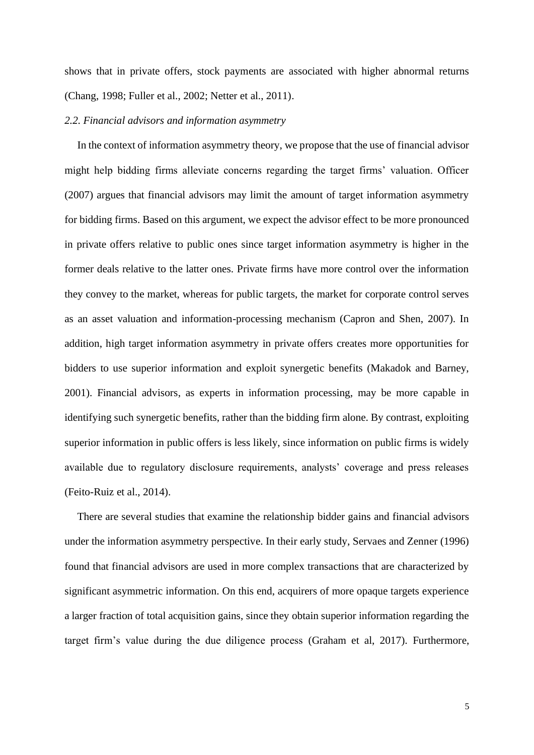shows that in private offers, stock payments are associated with higher abnormal returns (Chang, 1998; Fuller et al., 2002; Netter et al., 2011).

## *2.2. Financial advisors and information asymmetry*

In the context of information asymmetry theory, we propose that the use of financial advisor might help bidding firms alleviate concerns regarding the target firms' valuation. Officer (2007) argues that financial advisors may limit the amount of target information asymmetry for bidding firms. Based on this argument, we expect the advisor effect to be more pronounced in private offers relative to public ones since target information asymmetry is higher in the former deals relative to the latter ones. Private firms have more control over the information they convey to the market, whereas for public targets, the market for corporate control serves as an asset valuation and information-processing mechanism (Capron and Shen, 2007). In addition, high target information asymmetry in private offers creates more opportunities for bidders to use superior information and exploit synergetic benefits (Makadok and Barney, 2001). Financial advisors, as experts in information processing, may be more capable in identifying such synergetic benefits, rather than the bidding firm alone. By contrast, exploiting superior information in public offers is less likely, since information on public firms is widely available due to regulatory disclosure requirements, analysts' coverage and press releases (Feito-Ruiz et al., 2014).

There are several studies that examine the relationship bidder gains and financial advisors under the information asymmetry perspective. In their early study, Servaes and Zenner (1996) found that financial advisors are used in more complex transactions that are characterized by significant asymmetric information. On this end, acquirers of more opaque targets experience a larger fraction of total acquisition gains, since they obtain superior information regarding the target firm's value during the due diligence process (Graham et al, 2017). Furthermore,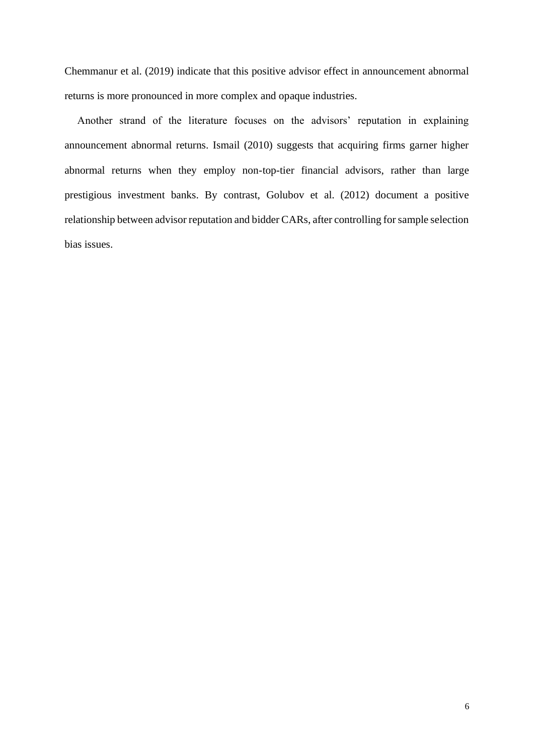Chemmanur et al. (2019) indicate that this positive advisor effect in announcement abnormal returns is more pronounced in more complex and opaque industries.

Another strand of the literature focuses on the advisors' reputation in explaining announcement abnormal returns. Ismail (2010) suggests that acquiring firms garner higher abnormal returns when they employ non-top-tier financial advisors, rather than large prestigious investment banks. By contrast, Golubov et al. (2012) document a positive relationship between advisor reputation and bidder CARs, after controlling for sample selection bias issues.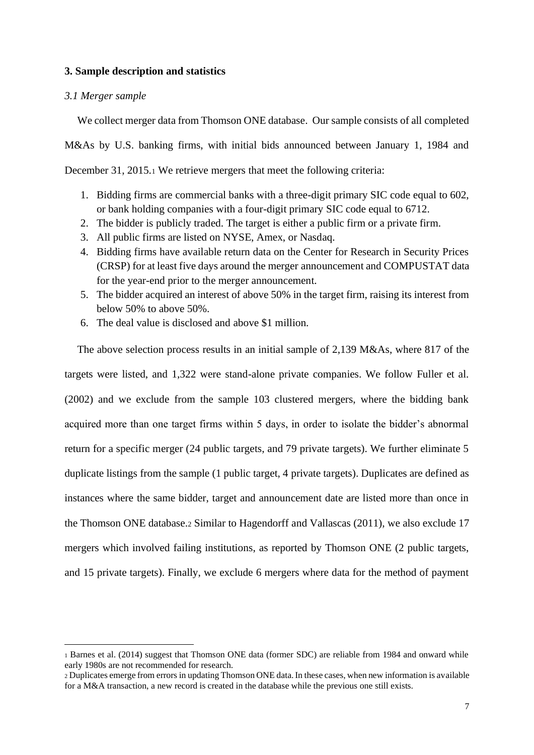## **3. Sample description and statistics**

## *3.1 Merger sample*

We collect merger data from Thomson ONE database. Our sample consists of all completed M&As by U.S. banking firms, with initial bids announced between January 1, 1984 and December 31, 2015.<sup>1</sup> We retrieve mergers that meet the following criteria:

- 1. Bidding firms are commercial banks with a three-digit primary SIC code equal to 602, or bank holding companies with a four-digit primary SIC code equal to 6712.
- 2. The bidder is publicly traded. The target is either a public firm or a private firm.
- 3. All public firms are listed on NYSE, Amex, or Nasdaq.
- 4. Bidding firms have available return data on the Center for Research in Security Prices (CRSP) for at least five days around the merger announcement and COMPUSTAT data for the year-end prior to the merger announcement.
- 5. The bidder acquired an interest of above 50% in the target firm, raising its interest from below 50% to above 50%.
- 6. The deal value is disclosed and above \$1 million.

The above selection process results in an initial sample of 2,139 M&As, where 817 of the targets were listed, and 1,322 were stand-alone private companies. We follow Fuller et al. (2002) and we exclude from the sample 103 clustered mergers, where the bidding bank acquired more than one target firms within 5 days, in order to isolate the bidder's abnormal return for a specific merger (24 public targets, and 79 private targets). We further eliminate 5 duplicate listings from the sample (1 public target, 4 private targets). Duplicates are defined as instances where the same bidder, target and announcement date are listed more than once in the Thomson ONE database.<sup>2</sup> Similar to Hagendorff and Vallascas (2011), we also exclude 17 mergers which involved failing institutions, as reported by Thomson ONE (2 public targets, and 15 private targets). Finally, we exclude 6 mergers where data for the method of payment

<sup>1</sup> Barnes et al. (2014) suggest that Thomson ONE data (former SDC) are reliable from 1984 and onward while early 1980s are not recommended for research.

<sup>2</sup> Duplicates emerge from errors in updating Thomson ONE data. In these cases, when new information is available for a M&A transaction, a new record is created in the database while the previous one still exists.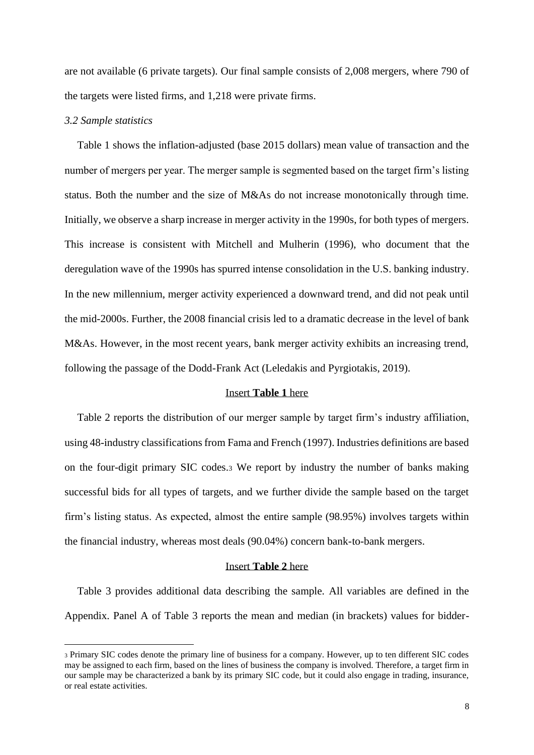are not available (6 private targets). Our final sample consists of 2,008 mergers, where 790 of the targets were listed firms, and 1,218 were private firms.

#### *3.2 Sample statistics*

Table 1 shows the inflation-adjusted (base 2015 dollars) mean value of transaction and the number of mergers per year. The merger sample is segmented based on the target firm's listing status. Both the number and the size of M&As do not increase monotonically through time. Initially, we observe a sharp increase in merger activity in the 1990s, for both types of mergers. This increase is consistent with Mitchell and Mulherin (1996), who document that the deregulation wave of the 1990s has spurred intense consolidation in the U.S. banking industry. In the new millennium, merger activity experienced a downward trend, and did not peak until the mid-2000s. Further, the 2008 financial crisis led to a dramatic decrease in the level of bank M&As. However, in the most recent years, bank merger activity exhibits an increasing trend, following the passage of the Dodd-Frank Act (Leledakis and Pyrgiotakis, 2019).

## Insert **Table 1** here

Table 2 reports the distribution of our merger sample by target firm's industry affiliation, using 48-industry classifications from Fama and French (1997). Industries definitions are based on the four-digit primary SIC codes.<sup>3</sup> We report by industry the number of banks making successful bids for all types of targets, and we further divide the sample based on the target firm's listing status. As expected, almost the entire sample (98.95%) involves targets within the financial industry, whereas most deals (90.04%) concern bank-to-bank mergers.

## Insert **Table 2** here

Table 3 provides additional data describing the sample. All variables are defined in the Appendix. Panel A of Table 3 reports the mean and median (in brackets) values for bidder-

<sup>3</sup> Primary SIC codes denote the primary line of business for a company. However, up to ten different SIC codes may be assigned to each firm, based on the lines of business the company is involved. Therefore, a target firm in our sample may be characterized a bank by its primary SIC code, but it could also engage in trading, insurance, or real estate activities.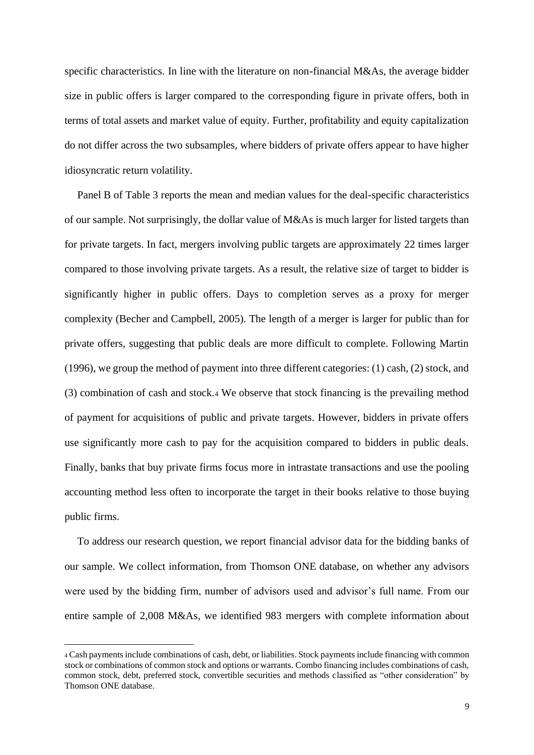specific characteristics. In line with the literature on non-financial M&As, the average bidder size in public offers is larger compared to the corresponding figure in private offers, both in terms of total assets and market value of equity. Further, profitability and equity capitalization do not differ across the two subsamples, where bidders of private offers appear to have higher idiosyncratic return volatility.

Panel B of Table 3 reports the mean and median values for the deal-specific characteristics of our sample. Not surprisingly, the dollar value of M&As is much larger for listed targets than for private targets. In fact, mergers involving public targets are approximately 22 times larger compared to those involving private targets. As a result, the relative size of target to bidder is significantly higher in public offers. Days to completion serves as a proxy for merger complexity (Becher and Campbell, 2005). The length of a merger is larger for public than for private offers, suggesting that public deals are more difficult to complete. Following Martin (1996), we group the method of payment into three different categories: (1) cash, (2) stock, and (3) combination of cash and stock.<sup>4</sup> We observe that stock financing is the prevailing method of payment for acquisitions of public and private targets. However, bidders in private offers use significantly more cash to pay for the acquisition compared to bidders in public deals. Finally, banks that buy private firms focus more in intrastate transactions and use the pooling accounting method less often to incorporate the target in their books relative to those buying public firms.

To address our research question, we report financial advisor data for the bidding banks of our sample. We collect information, from Thomson ONE database, on whether any advisors were used by the bidding firm, number of advisors used and advisor's full name. From our entire sample of 2,008 M&As, we identified 983 mergers with complete information about

<sup>4</sup> Cash payments include combinations of cash, debt, or liabilities. Stock payments include financing with common stock or combinations of common stock and options or warrants. Combo financing includes combinations of cash, common stock, debt, preferred stock, convertible securities and methods classified as "other consideration" by Thomson ONE database.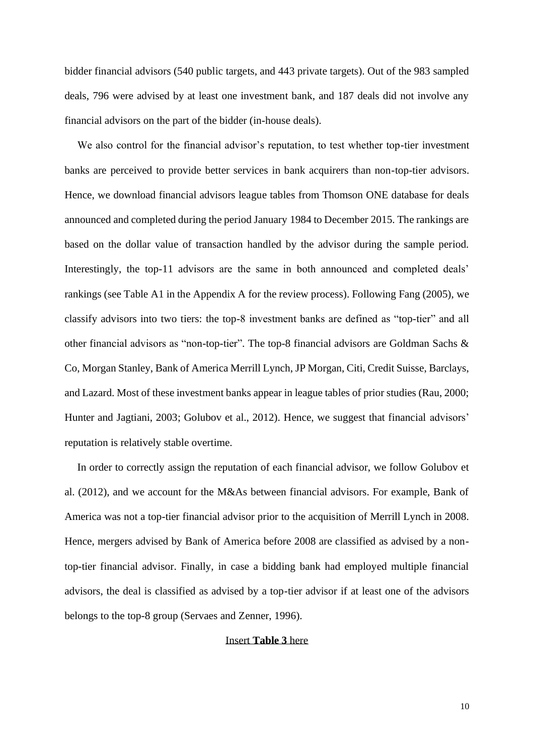bidder financial advisors (540 public targets, and 443 private targets). Out of the 983 sampled deals, 796 were advised by at least one investment bank, and 187 deals did not involve any financial advisors on the part of the bidder (in-house deals).

We also control for the financial advisor's reputation, to test whether top-tier investment banks are perceived to provide better services in bank acquirers than non-top-tier advisors. Hence, we download financial advisors league tables from Thomson ONE database for deals announced and completed during the period January 1984 to December 2015. The rankings are based on the dollar value of transaction handled by the advisor during the sample period. Interestingly, the top-11 advisors are the same in both announced and completed deals' rankings (see Table A1 in the Appendix A for the review process). Following Fang (2005), we classify advisors into two tiers: the top-8 investment banks are defined as "top-tier" and all other financial advisors as "non-top-tier". The top-8 financial advisors are Goldman Sachs & Co, Morgan Stanley, Bank of America Merrill Lynch, JP Morgan, Citi, Credit Suisse, Barclays, and Lazard. Most of these investment banks appear in league tables of prior studies (Rau, 2000; Hunter and Jagtiani, 2003; Golubov et al., 2012). Hence, we suggest that financial advisors' reputation is relatively stable overtime.

In order to correctly assign the reputation of each financial advisor, we follow Golubov et al. (2012), and we account for the M&As between financial advisors. For example, Bank of America was not a top-tier financial advisor prior to the acquisition of Merrill Lynch in 2008. Hence, mergers advised by Bank of America before 2008 are classified as advised by a nontop-tier financial advisor. Finally, in case a bidding bank had employed multiple financial advisors, the deal is classified as advised by a top-tier advisor if at least one of the advisors belongs to the top-8 group (Servaes and Zenner, 1996).

## Insert **Table 3** here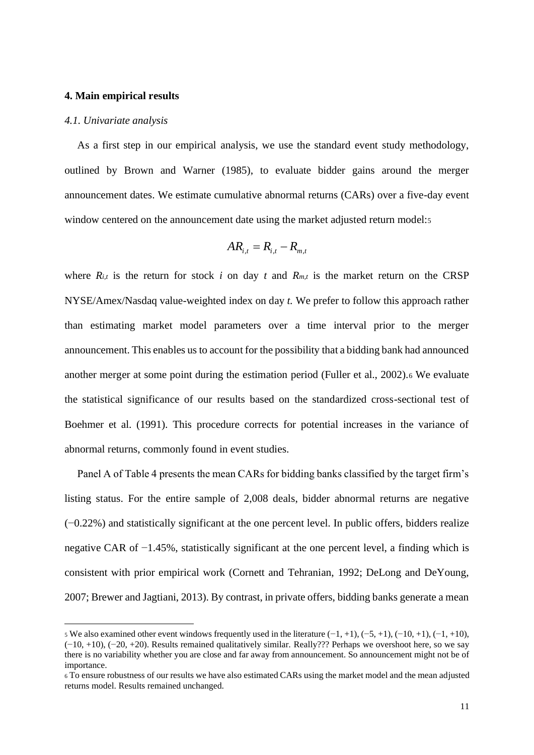#### **4. Main empirical results**

#### *4.1. Univariate analysis*

As a first step in our empirical analysis, we use the standard event study methodology, outlined by Brown and Warner (1985), to evaluate bidder gains around the merger announcement dates. We estimate cumulative abnormal returns (CARs) over a five-day event window centered on the announcement date using the market adjusted return model:5

$$
AR_{i,t} = R_{i,t} - R_{m,t}
$$

where  $R_{i,t}$  is the return for stock *i* on day *t* and  $R_{m,t}$  is the market return on the CRSP NYSE/Amex/Nasdaq value-weighted index on day *t.* We prefer to follow this approach rather than estimating market model parameters over a time interval prior to the merger announcement. This enables us to account for the possibility that a bidding bank had announced another merger at some point during the estimation period (Fuller et al., 2002).<sup>6</sup> We evaluate the statistical significance of our results based on the standardized cross-sectional test of Boehmer et al. (1991). This procedure corrects for potential increases in the variance of abnormal returns, commonly found in event studies.

Panel A of Table 4 presents the mean CARs for bidding banks classified by the target firm's listing status. For the entire sample of 2,008 deals, bidder abnormal returns are negative (−0.22%) and statistically significant at the one percent level. In public offers, bidders realize negative CAR of −1.45%, statistically significant at the one percent level, a finding which is consistent with prior empirical work (Cornett and Tehranian, 1992; DeLong and DeYoung, 2007; Brewer and Jagtiani, 2013). By contrast, in private offers, bidding banks generate a mean

<sup>5</sup> We also examined other event windows frequently used in the literature  $(-1, +1)$ ,  $(-5, +1)$ ,  $(-10, +1)$ ,  $(-1, +10)$ , (−10, +10), (−20, +20). Results remained qualitatively similar. Really??? Perhaps we overshoot here, so we say there is no variability whether you are close and far away from announcement. So announcement might not be of importance.

<sup>6</sup> To ensure robustness of our results we have also estimated CARs using the market model and the mean adjusted returns model. Results remained unchanged.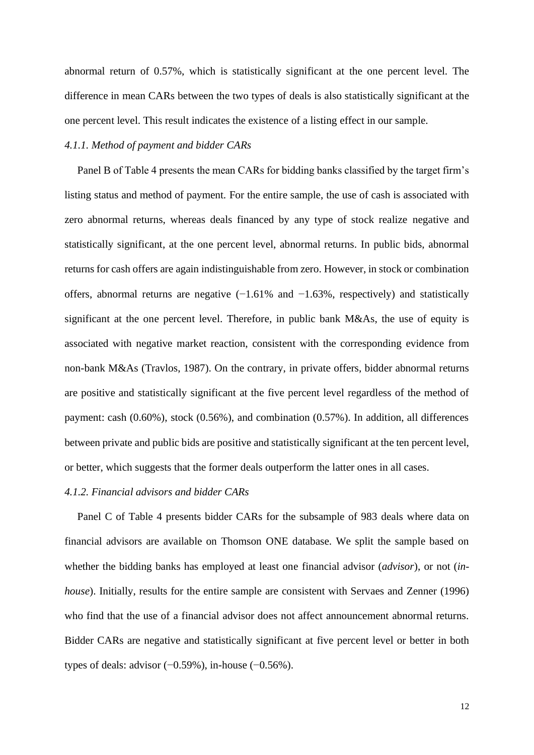abnormal return of 0.57%, which is statistically significant at the one percent level. The difference in mean CARs between the two types of deals is also statistically significant at the one percent level. This result indicates the existence of a listing effect in our sample.

## *4.1.1. Method of payment and bidder CARs*

Panel B of Table 4 presents the mean CARs for bidding banks classified by the target firm's listing status and method of payment. For the entire sample, the use of cash is associated with zero abnormal returns, whereas deals financed by any type of stock realize negative and statistically significant, at the one percent level, abnormal returns. In public bids, abnormal returns for cash offers are again indistinguishable from zero. However, in stock or combination offers, abnormal returns are negative  $(-1.61\%$  and  $-1.63\%$ , respectively) and statistically significant at the one percent level. Therefore, in public bank M&As, the use of equity is associated with negative market reaction, consistent with the corresponding evidence from non-bank M&As (Travlos, 1987). On the contrary, in private offers, bidder abnormal returns are positive and statistically significant at the five percent level regardless of the method of payment: cash (0.60%), stock (0.56%), and combination (0.57%). In addition, all differences between private and public bids are positive and statistically significant at the ten percent level, or better, which suggests that the former deals outperform the latter ones in all cases.

## *4.1.2. Financial advisors and bidder CARs*

Panel C of Table 4 presents bidder CARs for the subsample of 983 deals where data on financial advisors are available on Thomson ONE database. We split the sample based on whether the bidding banks has employed at least one financial advisor (*advisor*), or not (*inhouse*). Initially, results for the entire sample are consistent with Servaes and Zenner (1996) who find that the use of a financial advisor does not affect announcement abnormal returns. Bidder CARs are negative and statistically significant at five percent level or better in both types of deals: advisor (−0.59%), in-house (−0.56%).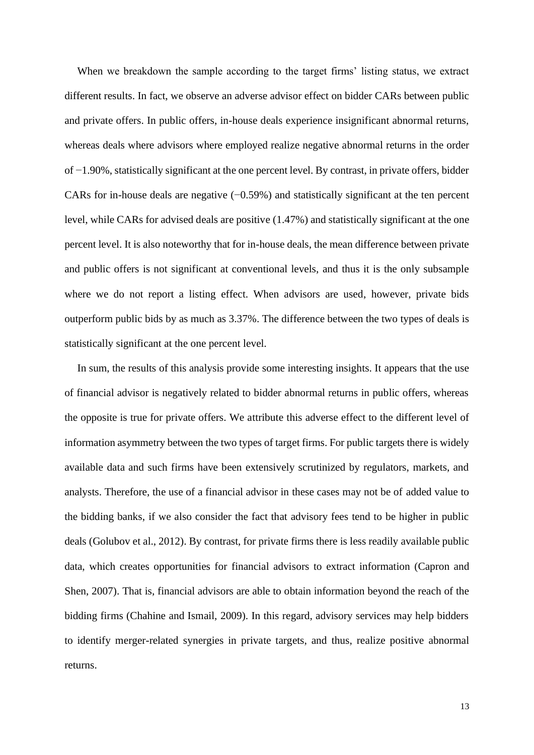When we breakdown the sample according to the target firms' listing status, we extract different results. In fact, we observe an adverse advisor effect on bidder CARs between public and private offers. In public offers, in-house deals experience insignificant abnormal returns, whereas deals where advisors where employed realize negative abnormal returns in the order of −1.90%, statistically significant at the one percent level. By contrast, in private offers, bidder CARs for in-house deals are negative (−0.59%) and statistically significant at the ten percent level, while CARs for advised deals are positive (1.47%) and statistically significant at the one percent level. It is also noteworthy that for in-house deals, the mean difference between private and public offers is not significant at conventional levels, and thus it is the only subsample where we do not report a listing effect. When advisors are used, however, private bids outperform public bids by as much as 3.37%. The difference between the two types of deals is statistically significant at the one percent level.

In sum, the results of this analysis provide some interesting insights. It appears that the use of financial advisor is negatively related to bidder abnormal returns in public offers, whereas the opposite is true for private offers. We attribute this adverse effect to the different level of information asymmetry between the two types of target firms. For public targets there is widely available data and such firms have been extensively scrutinized by regulators, markets, and analysts. Therefore, the use of a financial advisor in these cases may not be of added value to the bidding banks, if we also consider the fact that advisory fees tend to be higher in public deals (Golubov et al., 2012). By contrast, for private firms there is less readily available public data, which creates opportunities for financial advisors to extract information (Capron and Shen, 2007). That is, financial advisors are able to obtain information beyond the reach of the bidding firms (Chahine and Ismail, 2009). In this regard, advisory services may help bidders to identify merger-related synergies in private targets, and thus, realize positive abnormal returns.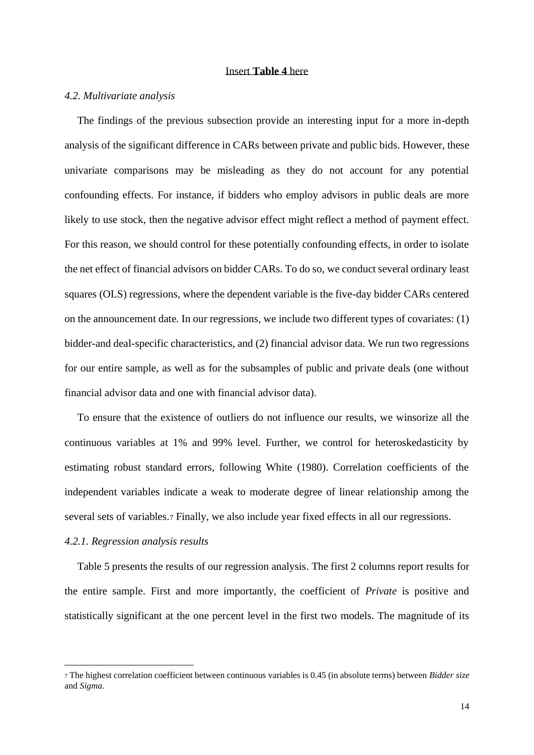## Insert **Table 4** here

#### *4.2. Multivariate analysis*

The findings of the previous subsection provide an interesting input for a more in-depth analysis of the significant difference in CARs between private and public bids. However, these univariate comparisons may be misleading as they do not account for any potential confounding effects. For instance, if bidders who employ advisors in public deals are more likely to use stock, then the negative advisor effect might reflect a method of payment effect. For this reason, we should control for these potentially confounding effects, in order to isolate the net effect of financial advisors on bidder CARs. To do so, we conduct several ordinary least squares (OLS) regressions, where the dependent variable is the five-day bidder CARs centered on the announcement date. In our regressions, we include two different types of covariates: (1) bidder-and deal-specific characteristics, and (2) financial advisor data. We run two regressions for our entire sample, as well as for the subsamples of public and private deals (one without financial advisor data and one with financial advisor data).

To ensure that the existence of outliers do not influence our results, we winsorize all the continuous variables at 1% and 99% level. Further, we control for heteroskedasticity by estimating robust standard errors, following White (1980). Correlation coefficients of the independent variables indicate a weak to moderate degree of linear relationship among the several sets of variables.<sup>7</sup> Finally, we also include year fixed effects in all our regressions.

#### *4.2.1. Regression analysis results*

Table 5 presents the results of our regression analysis. The first 2 columns report results for the entire sample. First and more importantly, the coefficient of *Private* is positive and statistically significant at the one percent level in the first two models. The magnitude of its

<sup>7</sup> The highest correlation coefficient between continuous variables is 0.45 (in absolute terms) between *Bidder size* and *Sigma*.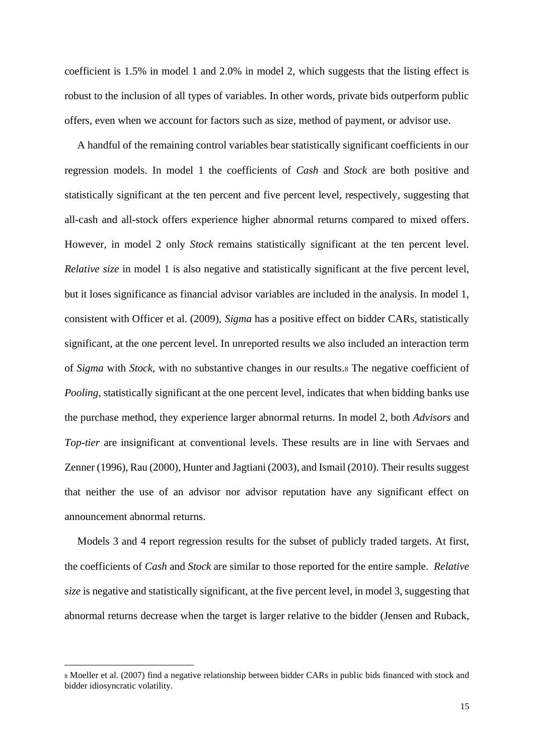coefficient is 1.5% in model 1 and 2.0% in model 2, which suggests that the listing effect is robust to the inclusion of all types of variables. In other words, private bids outperform public offers, even when we account for factors such as size, method of payment, or advisor use.

A handful of the remaining control variables bear statistically significant coefficients in our regression models. In model 1 the coefficients of *Cash* and *Stock* are both positive and statistically significant at the ten percent and five percent level, respectively, suggesting that all-cash and all-stock offers experience higher abnormal returns compared to mixed offers. However, in model 2 only *Stock* remains statistically significant at the ten percent level. *Relative size* in model 1 is also negative and statistically significant at the five percent level, but it loses significance as financial advisor variables are included in the analysis. In model 1, consistent with Officer et al. (2009), *Sigma* has a positive effect on bidder CARs, statistically significant, at the one percent level. In unreported results we also included an interaction term of *Sigma* with *Stock*, with no substantive changes in our results.<sup>8</sup> The negative coefficient of *Pooling*, statistically significant at the one percent level, indicates that when bidding banks use the purchase method, they experience larger abnormal returns. In model 2, both *Advisors* and *Top-tier* are insignificant at conventional levels. These results are in line with Servaes and Zenner (1996), Rau (2000), Hunter and Jagtiani (2003), and Ismail (2010). Their results suggest that neither the use of an advisor nor advisor reputation have any significant effect on announcement abnormal returns.

Models 3 and 4 report regression results for the subset of publicly traded targets. At first, the coefficients of *Cash* and *Stock* are similar to those reported for the entire sample. *Relative size* is negative and statistically significant, at the five percent level, in model 3, suggesting that abnormal returns decrease when the target is larger relative to the bidder (Jensen and Ruback,

<sup>8</sup> Moeller et al. (2007) find a negative relationship between bidder CARs in public bids financed with stock and bidder idiosyncratic volatility.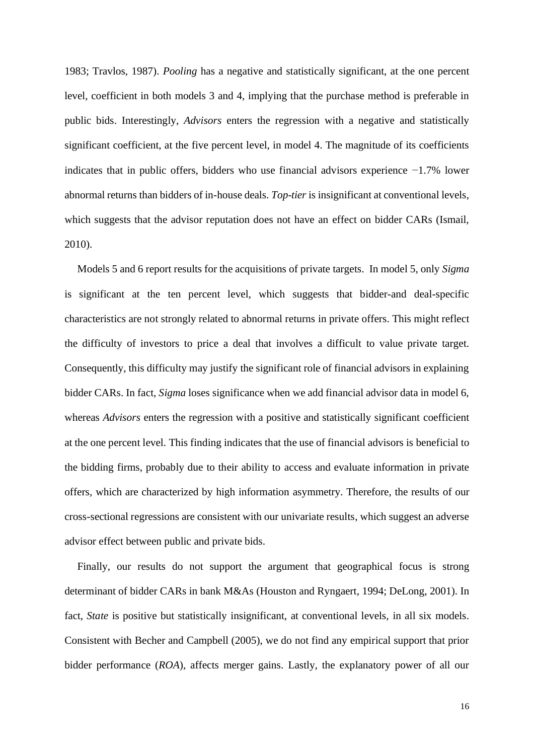1983; Travlos, 1987). *Pooling* has a negative and statistically significant, at the one percent level, coefficient in both models 3 and 4, implying that the purchase method is preferable in public bids. Interestingly, *Advisors* enters the regression with a negative and statistically significant coefficient, at the five percent level, in model 4. The magnitude of its coefficients indicates that in public offers, bidders who use financial advisors experience −1.7% lower abnormal returns than bidders of in-house deals. *Top-tier* is insignificant at conventional levels, which suggests that the advisor reputation does not have an effect on bidder CARs (Ismail, 2010).

Models 5 and 6 report results for the acquisitions of private targets. In model 5, only *Sigma* is significant at the ten percent level, which suggests that bidder-and deal-specific characteristics are not strongly related to abnormal returns in private offers. This might reflect the difficulty of investors to price a deal that involves a difficult to value private target. Consequently, this difficulty may justify the significant role of financial advisors in explaining bidder CARs. In fact, *Sigma* loses significance when we add financial advisor data in model 6, whereas *Advisors* enters the regression with a positive and statistically significant coefficient at the one percent level. This finding indicates that the use of financial advisors is beneficial to the bidding firms, probably due to their ability to access and evaluate information in private offers, which are characterized by high information asymmetry. Therefore, the results of our cross-sectional regressions are consistent with our univariate results, which suggest an adverse advisor effect between public and private bids.

Finally, our results do not support the argument that geographical focus is strong determinant of bidder CARs in bank M&As (Houston and Ryngaert, 1994; DeLong, 2001). In fact, *State* is positive but statistically insignificant, at conventional levels, in all six models. Consistent with Becher and Campbell (2005), we do not find any empirical support that prior bidder performance (*ROA*), affects merger gains. Lastly, the explanatory power of all our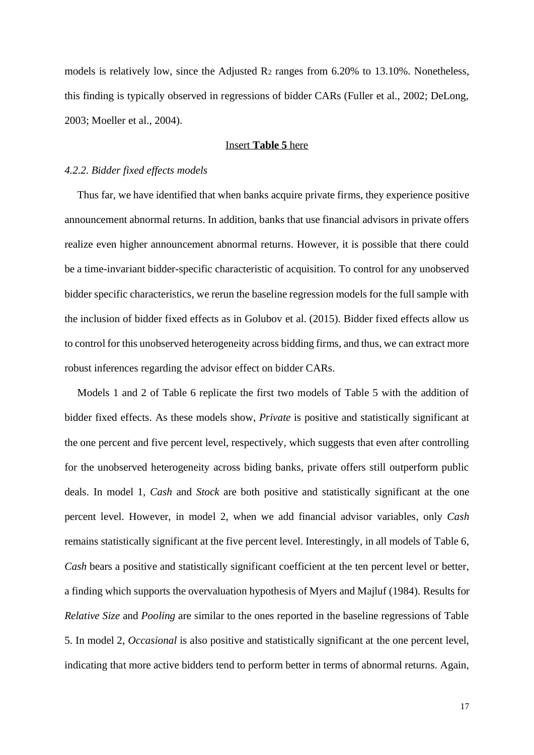models is relatively low, since the Adjusted R<sup>2</sup> ranges from 6.20% to 13.10%. Nonetheless, this finding is typically observed in regressions of bidder CARs (Fuller et al., 2002; DeLong, 2003; Moeller et al., 2004).

## Insert **Table 5** here

#### *4.2.2. Bidder fixed effects models*

Thus far, we have identified that when banks acquire private firms, they experience positive announcement abnormal returns. In addition, banks that use financial advisors in private offers realize even higher announcement abnormal returns. However, it is possible that there could be a time-invariant bidder-specific characteristic of acquisition. To control for any unobserved bidder specific characteristics, we rerun the baseline regression models for the full sample with the inclusion of bidder fixed effects as in Golubov et al. (2015). Bidder fixed effects allow us to control for this unobserved heterogeneity across bidding firms, and thus, we can extract more robust inferences regarding the advisor effect on bidder CARs.

Models 1 and 2 of Table 6 replicate the first two models of Table 5 with the addition of bidder fixed effects. As these models show, *Private* is positive and statistically significant at the one percent and five percent level, respectively, which suggests that even after controlling for the unobserved heterogeneity across biding banks, private offers still outperform public deals. In model 1, *Cash* and *Stock* are both positive and statistically significant at the one percent level. However, in model 2, when we add financial advisor variables, only *Cash* remains statistically significant at the five percent level. Interestingly, in all models of Table 6, *Cash* bears a positive and statistically significant coefficient at the ten percent level or better, a finding which supports the overvaluation hypothesis of Myers and Majluf (1984). Results for *Relative Size* and *Pooling* are similar to the ones reported in the baseline regressions of Table 5. In model 2, *Occasional* is also positive and statistically significant at the one percent level, indicating that more active bidders tend to perform better in terms of abnormal returns. Again,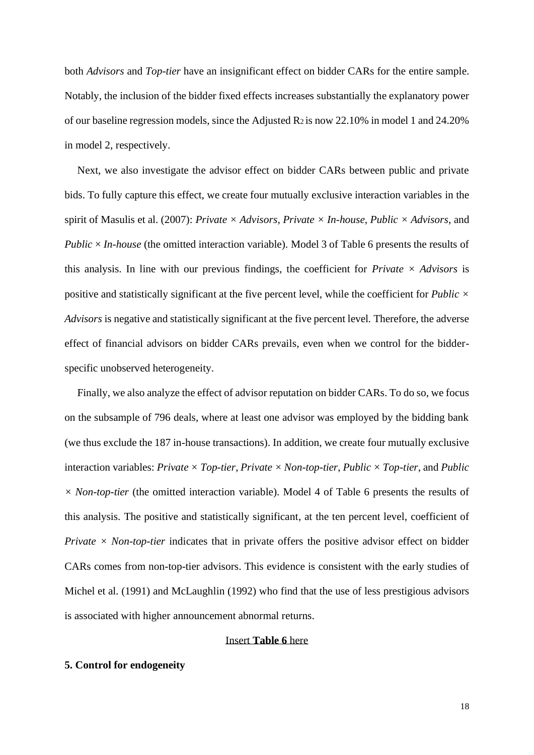both *Advisors* and *Top-tier* have an insignificant effect on bidder CARs for the entire sample. Notably, the inclusion of the bidder fixed effects increases substantially the explanatory power of our baseline regression models, since the Adjusted R<sup>2</sup> is now 22.10% in model 1 and 24.20% in model 2, respectively.

Next, we also investigate the advisor effect on bidder CARs between public and private bids. To fully capture this effect, we create four mutually exclusive interaction variables in the spirit of Masulis et al. (2007): *Private × Advisors*, *Private × In-house*, *Public × Advisors*, and *Public* × *In-house* (the omitted interaction variable). Model 3 of Table 6 presents the results of this analysis. In line with our previous findings, the coefficient for *Private*  $\times$  *Advisors* is positive and statistically significant at the five percent level, while the coefficient for *Public × Advisors* is negative and statistically significant at the five percent level*.* Therefore, the adverse effect of financial advisors on bidder CARs prevails, even when we control for the bidderspecific unobserved heterogeneity.

Finally, we also analyze the effect of advisor reputation on bidder CARs. To do so, we focus on the subsample of 796 deals, where at least one advisor was employed by the bidding bank (we thus exclude the 187 in-house transactions). In addition, we create four mutually exclusive interaction variables: *Private*  $\times$  *Top-tier*, *Private*  $\times$  *Non-top-tier*, *Public*  $\times$  *Top-tier*, and *Public × Non-top-tier* (the omitted interaction variable). Model 4 of Table 6 presents the results of this analysis. The positive and statistically significant, at the ten percent level, coefficient of *Private*  $\times$  *Non-top-tier* indicates that in private offers the positive advisor effect on bidder CARs comes from non-top-tier advisors. This evidence is consistent with the early studies of Michel et al. (1991) and McLaughlin (1992) who find that the use of less prestigious advisors is associated with higher announcement abnormal returns.

## Insert **Table 6** here

## **5. Control for endogeneity**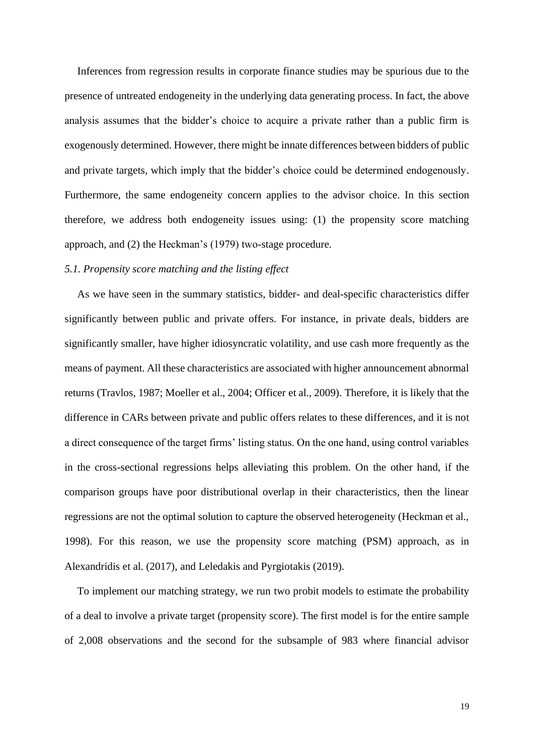Inferences from regression results in corporate finance studies may be spurious due to the presence of untreated endogeneity in the underlying data generating process. In fact, the above analysis assumes that the bidder's choice to acquire a private rather than a public firm is exogenously determined. However, there might be innate differences between bidders of public and private targets, which imply that the bidder's choice could be determined endogenously. Furthermore, the same endogeneity concern applies to the advisor choice. In this section therefore, we address both endogeneity issues using: (1) the propensity score matching approach, and (2) the Heckman's (1979) two-stage procedure.

## *5.1. Propensity score matching and the listing effect*

As we have seen in the summary statistics, bidder- and deal-specific characteristics differ significantly between public and private offers. For instance, in private deals, bidders are significantly smaller, have higher idiosyncratic volatility, and use cash more frequently as the means of payment. All these characteristics are associated with higher announcement abnormal returns (Travlos, 1987; Moeller et al., 2004; Officer et al., 2009). Therefore, it is likely that the difference in CARs between private and public offers relates to these differences, and it is not a direct consequence of the target firms' listing status. On the one hand, using control variables in the cross-sectional regressions helps alleviating this problem. On the other hand, if the comparison groups have poor distributional overlap in their characteristics, then the linear regressions are not the optimal solution to capture the observed heterogeneity (Heckman et al., 1998). For this reason, we use the propensity score matching (PSM) approach, as in Alexandridis et al. (2017), and Leledakis and Pyrgiotakis (2019).

To implement our matching strategy, we run two probit models to estimate the probability of a deal to involve a private target (propensity score). The first model is for the entire sample of 2,008 observations and the second for the subsample of 983 where financial advisor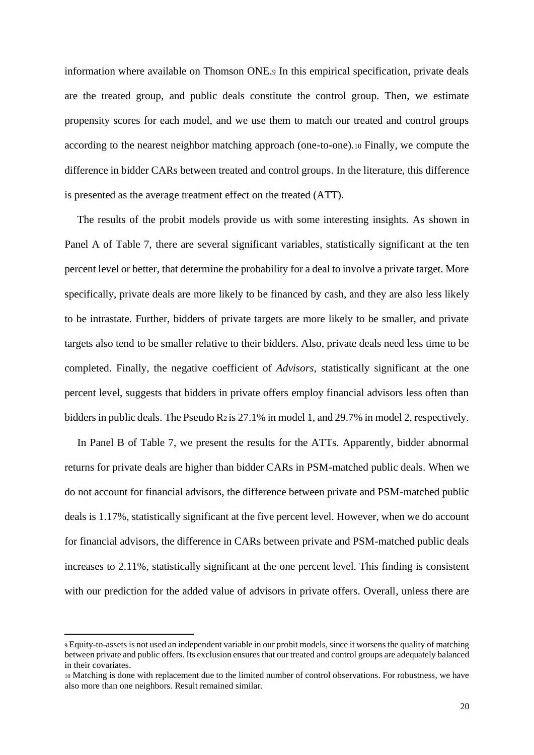information where available on Thomson ONE.<sup>9</sup> In this empirical specification, private deals are the treated group, and public deals constitute the control group. Then, we estimate propensity scores for each model, and we use them to match our treated and control groups according to the nearest neighbor matching approach (one-to-one).<sup>10</sup> Finally, we compute the difference in bidder CARs between treated and control groups. In the literature, this difference is presented as the average treatment effect on the treated (ATT).

The results of the probit models provide us with some interesting insights. As shown in Panel A of Table 7, there are several significant variables, statistically significant at the ten percent level or better, that determine the probability for a deal to involve a private target. More specifically, private deals are more likely to be financed by cash, and they are also less likely to be intrastate. Further, bidders of private targets are more likely to be smaller, and private targets also tend to be smaller relative to their bidders. Also, private deals need less time to be completed. Finally, the negative coefficient of *Advisors*, statistically significant at the one percent level, suggests that bidders in private offers employ financial advisors less often than bidders in public deals. The Pseudo R2 is 27.1% in model 1, and 29.7% in model 2, respectively.

In Panel B of Table 7, we present the results for the ATTs. Apparently, bidder abnormal returns for private deals are higher than bidder CARs in PSM-matched public deals. When we do not account for financial advisors, the difference between private and PSM-matched public deals is 1.17%, statistically significant at the five percent level. However, when we do account for financial advisors, the difference in CARs between private and PSM-matched public deals increases to 2.11%, statistically significant at the one percent level. This finding is consistent with our prediction for the added value of advisors in private offers. Overall, unless there are

<sup>9</sup> Equity-to-assets is not used an independent variable in our probit models, since it worsens the quality of matching between private and public offers. Its exclusion ensures that our treated and control groups are adequately balanced in their covariates.

<sup>10</sup> Matching is done with replacement due to the limited number of control observations. For robustness, we have also more than one neighbors. Result remained similar.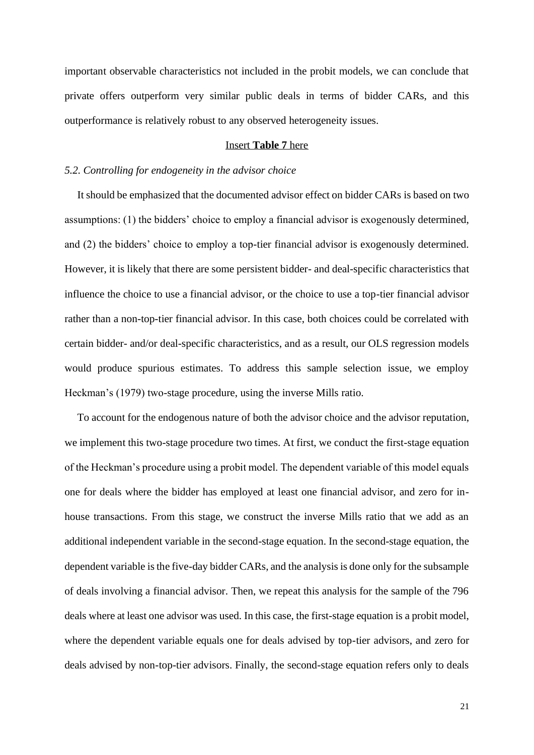important observable characteristics not included in the probit models, we can conclude that private offers outperform very similar public deals in terms of bidder CARs, and this outperformance is relatively robust to any observed heterogeneity issues.

#### Insert **Table 7** here

#### *5.2. Controlling for endogeneity in the advisor choice*

It should be emphasized that the documented advisor effect on bidder CARs is based on two assumptions: (1) the bidders' choice to employ a financial advisor is exogenously determined, and (2) the bidders' choice to employ a top-tier financial advisor is exogenously determined. However, it is likely that there are some persistent bidder- and deal-specific characteristics that influence the choice to use a financial advisor, or the choice to use a top-tier financial advisor rather than a non-top-tier financial advisor. In this case, both choices could be correlated with certain bidder- and/or deal-specific characteristics, and as a result, our OLS regression models would produce spurious estimates. To address this sample selection issue, we employ Heckman's (1979) two-stage procedure, using the inverse Mills ratio.

To account for the endogenous nature of both the advisor choice and the advisor reputation, we implement this two-stage procedure two times. At first, we conduct the first-stage equation of the Heckman's procedure using a probit model. The dependent variable of this model equals one for deals where the bidder has employed at least one financial advisor, and zero for inhouse transactions. From this stage, we construct the inverse Mills ratio that we add as an additional independent variable in the second-stage equation. In the second-stage equation, the dependent variable is the five-day bidder CARs, and the analysis is done only for the subsample of deals involving a financial advisor. Then, we repeat this analysis for the sample of the 796 deals where at least one advisor was used. In this case, the first-stage equation is a probit model, where the dependent variable equals one for deals advised by top-tier advisors, and zero for deals advised by non-top-tier advisors. Finally, the second-stage equation refers only to deals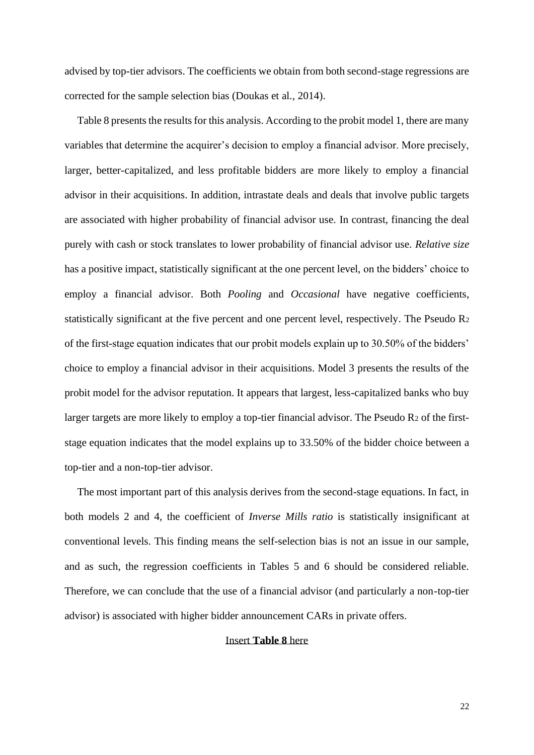advised by top-tier advisors. The coefficients we obtain from both second-stage regressions are corrected for the sample selection bias (Doukas et al., 2014).

Table 8 presents the results for this analysis. According to the probit model 1, there are many variables that determine the acquirer's decision to employ a financial advisor. More precisely, larger, better-capitalized, and less profitable bidders are more likely to employ a financial advisor in their acquisitions. In addition, intrastate deals and deals that involve public targets are associated with higher probability of financial advisor use. In contrast, financing the deal purely with cash or stock translates to lower probability of financial advisor use. *Relative size* has a positive impact, statistically significant at the one percent level, on the bidders' choice to employ a financial advisor. Both *Pooling* and *Occasional* have negative coefficients, statistically significant at the five percent and one percent level, respectively. The Pseudo R<sup>2</sup> of the first-stage equation indicates that our probit models explain up to 30.50% of the bidders' choice to employ a financial advisor in their acquisitions. Model 3 presents the results of the probit model for the advisor reputation. It appears that largest, less-capitalized banks who buy larger targets are more likely to employ a top-tier financial advisor. The Pseudo R2 of the firststage equation indicates that the model explains up to 33.50% of the bidder choice between a top-tier and a non-top-tier advisor.

The most important part of this analysis derives from the second-stage equations. In fact, in both models 2 and 4, the coefficient of *Inverse Mills ratio* is statistically insignificant at conventional levels. This finding means the self-selection bias is not an issue in our sample, and as such, the regression coefficients in Tables 5 and 6 should be considered reliable. Therefore, we can conclude that the use of a financial advisor (and particularly a non-top-tier advisor) is associated with higher bidder announcement CARs in private offers.

## Insert **Table 8** here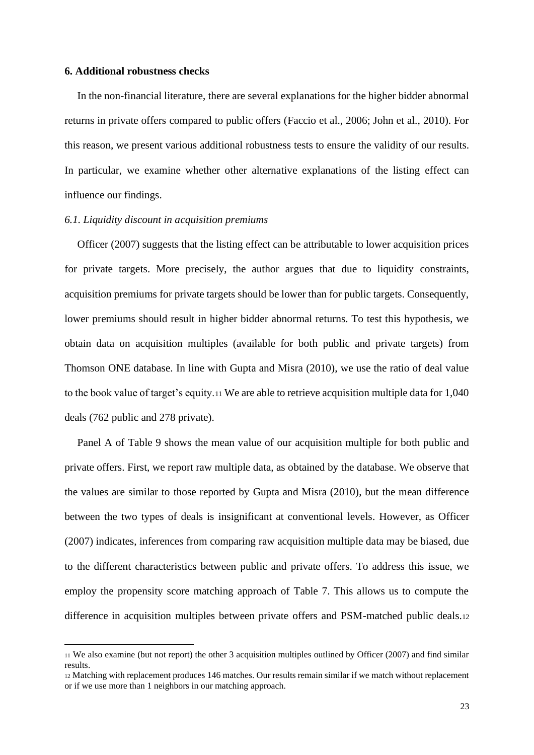#### **6. Additional robustness checks**

In the non-financial literature, there are several explanations for the higher bidder abnormal returns in private offers compared to public offers (Faccio et al., 2006; John et al., 2010). For this reason, we present various additional robustness tests to ensure the validity of our results. In particular, we examine whether other alternative explanations of the listing effect can influence our findings.

## *6.1. Liquidity discount in acquisition premiums*

Officer (2007) suggests that the listing effect can be attributable to lower acquisition prices for private targets. More precisely, the author argues that due to liquidity constraints, acquisition premiums for private targets should be lower than for public targets. Consequently, lower premiums should result in higher bidder abnormal returns. To test this hypothesis, we obtain data on acquisition multiples (available for both public and private targets) from Thomson ONE database. In line with Gupta and Misra (2010), we use the ratio of deal value to the book value of target's equity.<sup>11</sup> We are able to retrieve acquisition multiple data for 1,040 deals (762 public and 278 private).

Panel A of Table 9 shows the mean value of our acquisition multiple for both public and private offers. First, we report raw multiple data, as obtained by the database. We observe that the values are similar to those reported by Gupta and Misra (2010), but the mean difference between the two types of deals is insignificant at conventional levels. However, as Officer (2007) indicates, inferences from comparing raw acquisition multiple data may be biased, due to the different characteristics between public and private offers. To address this issue, we employ the propensity score matching approach of Table 7. This allows us to compute the difference in acquisition multiples between private offers and PSM-matched public deals.<sup>12</sup>

<sup>11</sup> We also examine (but not report) the other 3 acquisition multiples outlined by Officer (2007) and find similar results.

<sup>12</sup> Matching with replacement produces 146 matches. Our results remain similar if we match without replacement or if we use more than 1 neighbors in our matching approach.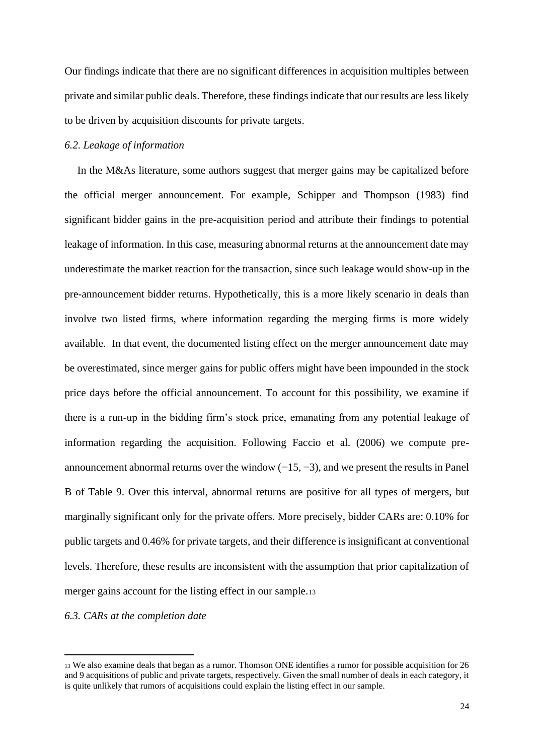Our findings indicate that there are no significant differences in acquisition multiples between private and similar public deals. Therefore, these findings indicate that our results are less likely to be driven by acquisition discounts for private targets.

## *6.2. Leakage of information*

In the M&As literature, some authors suggest that merger gains may be capitalized before the official merger announcement. For example, Schipper and Thompson (1983) find significant bidder gains in the pre-acquisition period and attribute their findings to potential leakage of information. In this case, measuring abnormal returns at the announcement date may underestimate the market reaction for the transaction, since such leakage would show-up in the pre-announcement bidder returns. Hypothetically, this is a more likely scenario in deals than involve two listed firms, where information regarding the merging firms is more widely available. In that event, the documented listing effect on the merger announcement date may be overestimated, since merger gains for public offers might have been impounded in the stock price days before the official announcement. To account for this possibility, we examine if there is a run-up in the bidding firm's stock price, emanating from any potential leakage of information regarding the acquisition. Following Faccio et al. (2006) we compute preannouncement abnormal returns over the window  $(-15, -3)$ , and we present the results in Panel B of Table 9. Over this interval, abnormal returns are positive for all types of mergers, but marginally significant only for the private offers. More precisely, bidder CARs are: 0.10% for public targets and 0.46% for private targets, and their difference is insignificant at conventional levels. Therefore, these results are inconsistent with the assumption that prior capitalization of merger gains account for the listing effect in our sample.<sup>13</sup>

## *6.3. CARs at the completion date*

<sup>13</sup> We also examine deals that began as a rumor. Thomson ONE identifies a rumor for possible acquisition for 26 and 9 acquisitions of public and private targets, respectively. Given the small number of deals in each category, it is quite unlikely that rumors of acquisitions could explain the listing effect in our sample.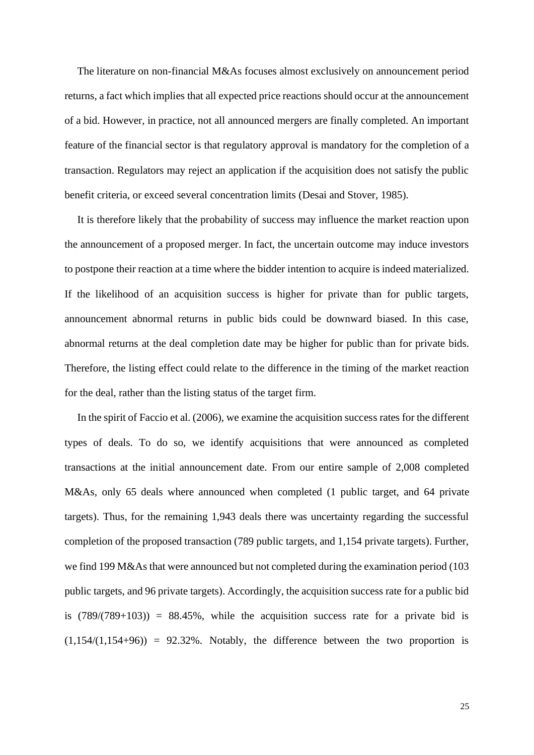The literature on non-financial M&As focuses almost exclusively on announcement period returns, a fact which implies that all expected price reactions should occur at the announcement of a bid. However, in practice, not all announced mergers are finally completed. An important feature of the financial sector is that regulatory approval is mandatory for the completion of a transaction. Regulators may reject an application if the acquisition does not satisfy the public benefit criteria, or exceed several concentration limits (Desai and Stover, 1985).

It is therefore likely that the probability of success may influence the market reaction upon the announcement of a proposed merger. In fact, the uncertain outcome may induce investors to postpone their reaction at a time where the bidder intention to acquire is indeed materialized. If the likelihood of an acquisition success is higher for private than for public targets, announcement abnormal returns in public bids could be downward biased. In this case, abnormal returns at the deal completion date may be higher for public than for private bids. Therefore, the listing effect could relate to the difference in the timing of the market reaction for the deal, rather than the listing status of the target firm.

In the spirit of Faccio et al. (2006), we examine the acquisition success rates for the different types of deals. To do so, we identify acquisitions that were announced as completed transactions at the initial announcement date. From our entire sample of 2,008 completed M&As, only 65 deals where announced when completed (1 public target, and 64 private targets). Thus, for the remaining 1,943 deals there was uncertainty regarding the successful completion of the proposed transaction (789 public targets, and 1,154 private targets). Further, we find 199 M&As that were announced but not completed during the examination period (103 public targets, and 96 private targets). Accordingly, the acquisition success rate for a public bid is  $(789/(789+103)) = 88.45\%$ , while the acquisition success rate for a private bid is  $(1,154/(1,154+96))$  = 92.32%. Notably, the difference between the two proportion is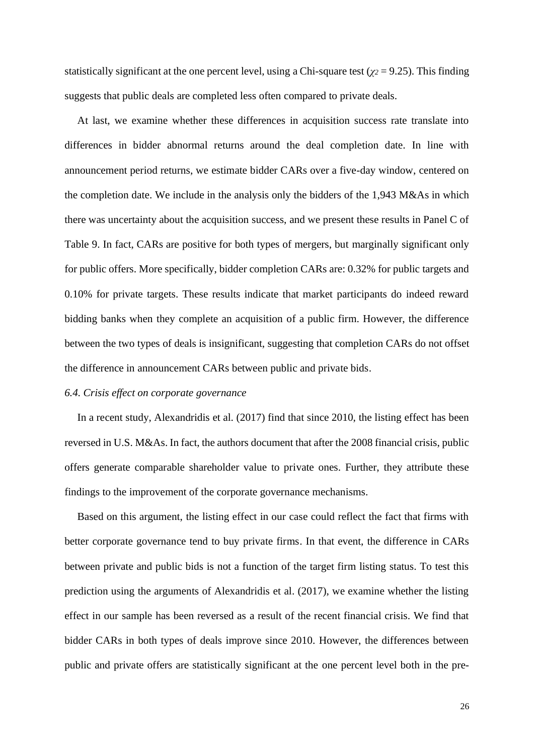statistically significant at the one percent level, using a Chi-square test ( $\gamma$ <sup>2</sup> = 9.25). This finding suggests that public deals are completed less often compared to private deals.

At last, we examine whether these differences in acquisition success rate translate into differences in bidder abnormal returns around the deal completion date. In line with announcement period returns, we estimate bidder CARs over a five-day window, centered on the completion date. We include in the analysis only the bidders of the 1,943 M&As in which there was uncertainty about the acquisition success, and we present these results in Panel C of Table 9. In fact, CARs are positive for both types of mergers, but marginally significant only for public offers. More specifically, bidder completion CARs are: 0.32% for public targets and 0.10% for private targets. These results indicate that market participants do indeed reward bidding banks when they complete an acquisition of a public firm. However, the difference between the two types of deals is insignificant, suggesting that completion CARs do not offset the difference in announcement CARs between public and private bids.

## *6.4. Crisis effect on corporate governance*

In a recent study, Alexandridis et al. (2017) find that since 2010, the listing effect has been reversed in U.S. M&As. In fact, the authors document that after the 2008 financial crisis, public offers generate comparable shareholder value to private ones. Further, they attribute these findings to the improvement of the corporate governance mechanisms.

Based on this argument, the listing effect in our case could reflect the fact that firms with better corporate governance tend to buy private firms. In that event, the difference in CARs between private and public bids is not a function of the target firm listing status. To test this prediction using the arguments of Alexandridis et al. (2017), we examine whether the listing effect in our sample has been reversed as a result of the recent financial crisis. We find that bidder CARs in both types of deals improve since 2010. However, the differences between public and private offers are statistically significant at the one percent level both in the pre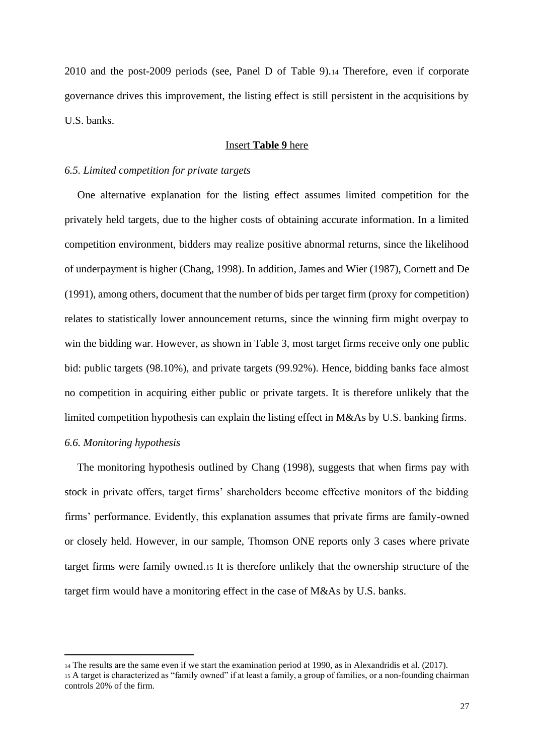2010 and the post-2009 periods (see, Panel D of Table 9).<sup>14</sup> Therefore, even if corporate governance drives this improvement, the listing effect is still persistent in the acquisitions by U.S. banks.

## Insert **Table 9** here

#### *6.5. Limited competition for private targets*

One alternative explanation for the listing effect assumes limited competition for the privately held targets, due to the higher costs of obtaining accurate information. In a limited competition environment, bidders may realize positive abnormal returns, since the likelihood of underpayment is higher (Chang, 1998). In addition, James and Wier (1987), Cornett and De (1991), among others, document that the number of bids per target firm (proxy for competition) relates to statistically lower announcement returns, since the winning firm might overpay to win the bidding war. However, as shown in Table 3, most target firms receive only one public bid: public targets (98.10%), and private targets (99.92%). Hence, bidding banks face almost no competition in acquiring either public or private targets. It is therefore unlikely that the limited competition hypothesis can explain the listing effect in M&As by U.S. banking firms. *6.6. Monitoring hypothesis*

The monitoring hypothesis outlined by Chang (1998), suggests that when firms pay with stock in private offers, target firms' shareholders become effective monitors of the bidding firms' performance. Evidently, this explanation assumes that private firms are family-owned or closely held. However, in our sample, Thomson ONE reports only 3 cases where private target firms were family owned.<sup>15</sup> It is therefore unlikely that the ownership structure of the target firm would have a monitoring effect in the case of M&As by U.S. banks.

<sup>14</sup> The results are the same even if we start the examination period at 1990, as in Alexandridis et al. (2017). <sup>15</sup> A target is characterized as "family owned" if at least a family, a group of families, or a non-founding chairman controls 20% of the firm.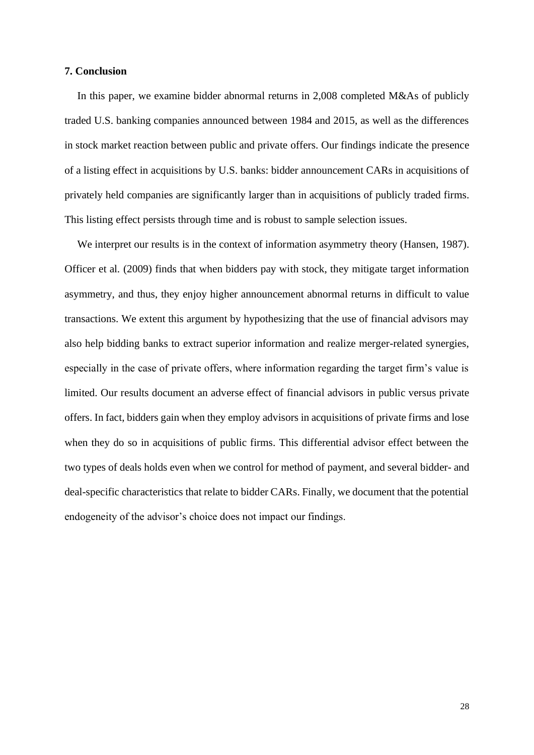## **7. Conclusion**

In this paper, we examine bidder abnormal returns in 2,008 completed M&As of publicly traded U.S. banking companies announced between 1984 and 2015, as well as the differences in stock market reaction between public and private offers. Our findings indicate the presence of a listing effect in acquisitions by U.S. banks: bidder announcement CARs in acquisitions of privately held companies are significantly larger than in acquisitions of publicly traded firms. This listing effect persists through time and is robust to sample selection issues.

We interpret our results is in the context of information asymmetry theory (Hansen, 1987). Officer et al. (2009) finds that when bidders pay with stock, they mitigate target information asymmetry, and thus, they enjoy higher announcement abnormal returns in difficult to value transactions. We extent this argument by hypothesizing that the use of financial advisors may also help bidding banks to extract superior information and realize merger-related synergies, especially in the case of private offers, where information regarding the target firm's value is limited. Our results document an adverse effect of financial advisors in public versus private offers. In fact, bidders gain when they employ advisors in acquisitions of private firms and lose when they do so in acquisitions of public firms. This differential advisor effect between the two types of deals holds even when we control for method of payment, and several bidder- and deal-specific characteristics that relate to bidder CARs. Finally, we document that the potential endogeneity of the advisor's choice does not impact our findings.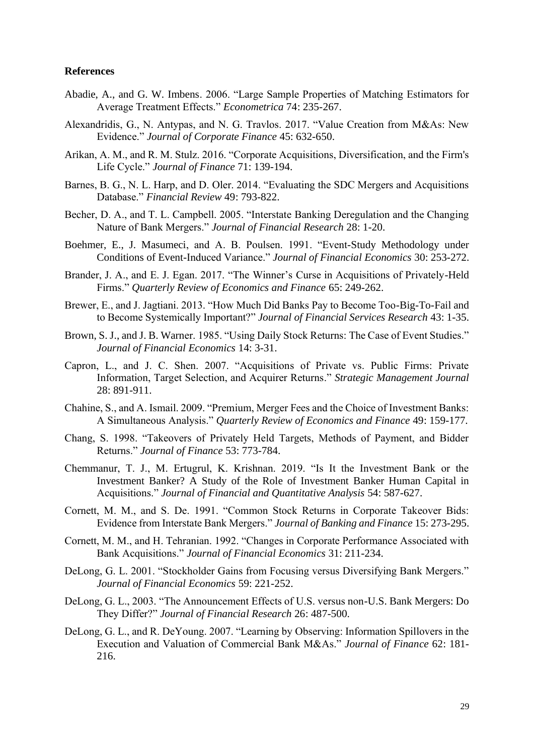## **References**

- Abadie, A., and G. W. Imbens. 2006. "Large Sample Properties of Matching Estimators for Average Treatment Effects." *Econometrica* 74: 235-267.
- Alexandridis, G., N. Antypas, and N. G. Travlos. 2017. "Value Creation from M&As: New Evidence." *Journal of Corporate Finance* 45: 632-650.
- Arikan, A. M., and R. M. Stulz. 2016. "Corporate Acquisitions, Diversification, and the Firm's Life Cycle." *Journal of Finance* 71: 139-194.
- Barnes, B. G., N. L. Harp, and D. Oler. 2014. "Evaluating the SDC Mergers and Acquisitions Database." *Financial Review* 49: 793-822.
- Becher, D. A., and T. L. Campbell. 2005. "Interstate Banking Deregulation and the Changing Nature of Bank Mergers." *Journal of Financial Research* 28: 1-20.
- Boehmer, E., J. Masumeci, and A. B. Poulsen. 1991. "Event-Study Methodology under Conditions of Event-Induced Variance." *Journal of Financial Economics* 30: 253-272.
- Brander, J. A., and E. J. Egan. 2017. "The Winner's Curse in Acquisitions of Privately-Held Firms." *Quarterly Review of Economics and Finance* 65: 249-262.
- Brewer, E., and J. Jagtiani. 2013. "How Much Did Banks Pay to Become Too-Big-To-Fail and to Become Systemically Important?" *Journal of Financial Services Research* 43: 1-35.
- Brown, S. J., and J. B. Warner. 1985. "Using Daily Stock Returns: The Case of Event Studies." *Journal of Financial Economics* 14: 3-31.
- Capron, L., and J. C. Shen. 2007. "Acquisitions of Private vs. Public Firms: Private Information, Target Selection, and Acquirer Returns." *Strategic Management Journal* 28: 891-911.
- Chahine, S., and A. Ismail. 2009. "Premium, Merger Fees and the Choice of Investment Banks: A Simultaneous Analysis." *Quarterly Review of Economics and Finance* 49: 159-177.
- Chang, S. 1998. "Takeovers of Privately Held Targets, Methods of Payment, and Bidder Returns." *Journal of Finance* 53: 773-784.
- Chemmanur, T. J., M. Ertugrul, K. Krishnan. 2019. "Is It the Investment Bank or the Investment Banker? A Study of the Role of Investment Banker Human Capital in Acquisitions." *Journal of Financial and Quantitative Analysis* 54: 587-627.
- Cornett, M. M., and S. De. 1991. "Common Stock Returns in Corporate Takeover Bids: Evidence from Interstate Bank Mergers." *Journal of Banking and Finance* 15: 273-295.
- Cornett, M. M., and H. Tehranian. 1992. "Changes in Corporate Performance Associated with Bank Acquisitions." *Journal of Financial Economics* 31: 211-234.
- DeLong, G. L. 2001. "Stockholder Gains from Focusing versus Diversifying Bank Mergers." *Journal of Financial Economics* 59: 221-252.
- DeLong, G. L., 2003. "The Announcement Effects of U.S. versus non-U.S. Bank Mergers: Do They Differ?" *Journal of Financial Research* 26: 487-500.
- DeLong, G. L., and R. DeYoung. 2007. "Learning by Observing: Information Spillovers in the Execution and Valuation of Commercial Bank M&As." *Journal of Finance* 62: 181- 216.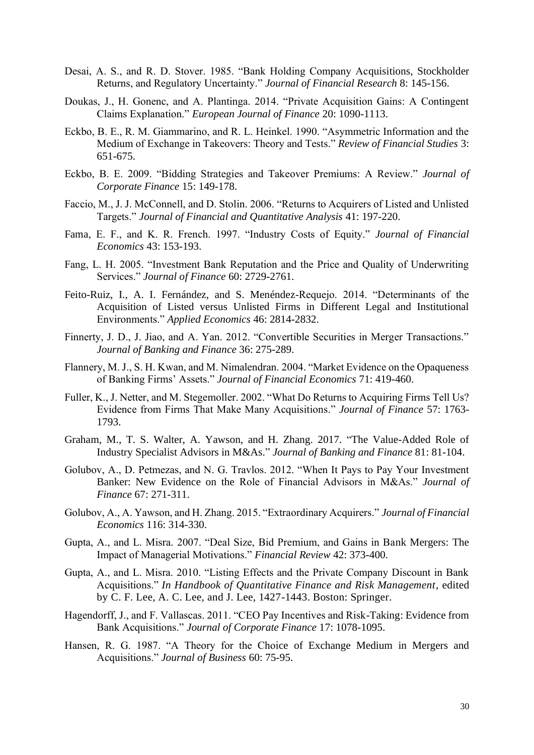- Desai, A. S., and R. D. Stover. 1985. "Bank Holding Company Acquisitions, Stockholder Returns, and Regulatory Uncertainty." *Journal of Financial Research* 8: 145-156.
- Doukas, J., H. Gonenc, and A. Plantinga. 2014. "Private Acquisition Gains: A Contingent Claims Explanation." *European Journal of Finance* 20: 1090-1113.
- Eckbo, B. E., R. M. Giammarino, and R. L. Heinkel. 1990. "Asymmetric Information and the Medium of Exchange in Takeovers: Theory and Tests." *Review of Financial Studies* 3: 651-675.
- Eckbo, B. E. 2009. "Bidding Strategies and Takeover Premiums: A Review." *Journal of Corporate Finance* 15: 149-178.
- Faccio, M., J. J. McConnell, and D. Stolin. 2006. "Returns to Acquirers of Listed and Unlisted Targets." *Journal of Financial and Quantitative Analysis* 41: 197-220.
- Fama, E. F., and K. R. French. 1997. "Industry Costs of Equity." *Journal of Financial Economics* 43: 153-193.
- Fang, L. H. 2005. "Investment Bank Reputation and the Price and Quality of Underwriting Services." *Journal of Finance* 60: 2729-2761.
- Feito-Ruiz, I., A. I. Fernández, and S. Menéndez-Requejo. 2014. "Determinants of the Acquisition of Listed versus Unlisted Firms in Different Legal and Institutional Environments." *Applied Economics* 46: 2814-2832.
- Finnerty, J. D., J. Jiao, and A. Yan. 2012. "Convertible Securities in Merger Transactions." *Journal of Banking and Finance* 36: 275-289.
- Flannery, M. J., S. H. Kwan, and M. Nimalendran. 2004. "Market Evidence on the Opaqueness of Banking Firms' Assets." *Journal of Financial Economics* 71: 419-460.
- Fuller, K., J. Netter, and M. Stegemoller. 2002. "What Do Returns to Acquiring Firms Tell Us? Evidence from Firms That Make Many Acquisitions." *Journal of Finance* 57: 1763- 1793.
- Graham, M., T. S. Walter, A. Yawson, and H. Zhang. 2017. "The Value-Added Role of Industry Specialist Advisors in M&As." *Journal of Banking and Finance* 81: 81-104.
- Golubov, A., D. Petmezas, and N. G. Travlos. 2012. "When It Pays to Pay Your Investment Banker: New Evidence on the Role of Financial Advisors in M&As." *Journal of Finance* 67: 271-311.
- Golubov, A., A. Yawson, and H. Zhang. 2015. "Extraordinary Acquirers." *Journal of Financial Economics* 116: 314-330.
- Gupta, A., and L. Misra. 2007. "Deal Size, Bid Premium, and Gains in Bank Mergers: The Impact of Managerial Motivations." *Financial Review* 42: 373-400.
- Gupta, A., and L. Misra. 2010. "Listing Effects and the Private Company Discount in Bank Acquisitions." *In Handbook of Quantitative Finance and Risk Management*, edited by C. F. Lee, A. C. Lee, and J. Lee, 1427-1443. Boston: Springer.
- Hagendorff, J., and F. Vallascas. 2011. "CEO Pay Incentives and Risk-Taking: Evidence from Bank Acquisitions." *Journal of Corporate Finance* 17: 1078-1095.
- Hansen, R. G. 1987. "A Theory for the Choice of Exchange Medium in Mergers and Acquisitions." *Journal of Business* 60: 75-95.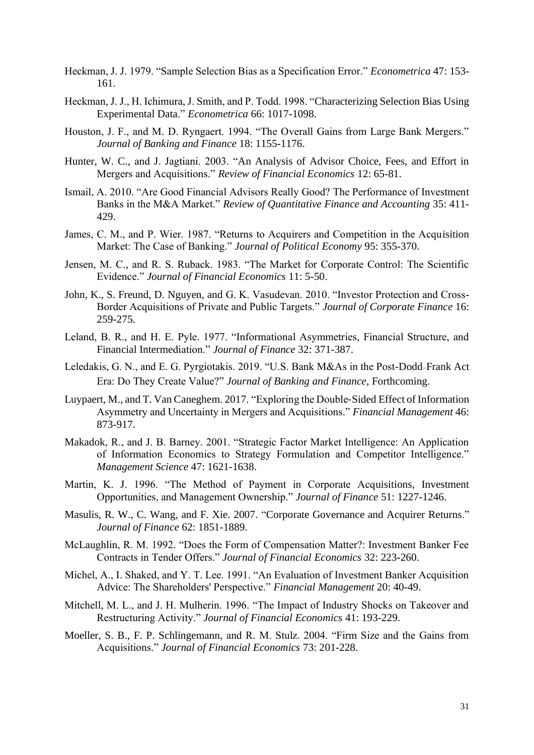- Heckman, J. J. 1979. "Sample Selection Bias as a Specification Error." *Econometrica* 47: 153- 161.
- Heckman, J. J., H. Ichimura, J. Smith, and P. Todd. 1998. "Characterizing Selection Bias Using Experimental Data." *Econometrica* 66: 1017-1098.
- Houston, J. F., and M. D. Ryngaert. 1994. "The Overall Gains from Large Bank Mergers." *Journal of Banking and Finance* 18: 1155-1176.
- Hunter, W. C., and J. Jagtiani. 2003. "An Analysis of Advisor Choice, Fees, and Effort in Mergers and Acquisitions." *Review of Financial Economics* 12: 65-81.
- Ismail, A. 2010. "Are Good Financial Advisors Really Good? The Performance of Investment Banks in the M&A Market." *Review of Quantitative Finance and Accounting* 35: 411- 429.
- James, C. M., and P. Wier. 1987. "Returns to Acquirers and Competition in the Acquisition Market: The Case of Banking." *Journal of Political Economy* 95: 355-370.
- Jensen, M. C., and R. S. Ruback. 1983. "The Market for Corporate Control: The Scientific Evidence." *Journal of Financial Economics* 11: 5-50.
- John, K., S. Freund, D. Nguyen, and G. K. Vasudevan. 2010. "Investor Protection and Cross-Border Acquisitions of Private and Public Targets." *Journal of Corporate Finance* 16: 259-275.
- Leland, B. R., and H. E. Pyle. 1977. "Informational Asymmetries, Financial Structure, and Financial Intermediation." *Journal of Finance* 32: 371-387.
- Leledakis, G. N., and E. G. Pyrgiotakis. 2019. "U.S. Bank M&As in the Post-Dodd–Frank Act Era: Do They Create Value?" *Journal of Banking and Finance*, Forthcoming.
- Luypaert, M., and T. Van Caneghem. 2017. "Exploring the Double‐Sided Effect of Information Asymmetry and Uncertainty in Mergers and Acquisitions." *Financial Management* 46: 873-917.
- Makadok, R., and J. B. Barney. 2001. "Strategic Factor Market Intelligence: An Application of Information Economics to Strategy Formulation and Competitor Intelligence." *Management Science* 47: 1621-1638.
- Martin, K. J. 1996. "The Method of Payment in Corporate Acquisitions, Investment Opportunities, and Management Ownership." *Journal of Finance* 51: 1227-1246.
- Masulis, R. W., C. Wang, and F. Xie. 2007. "Corporate Governance and Acquirer Returns." *Journal of Finance* 62: 1851-1889.
- McLaughlin, R. M. 1992. "Does the Form of Compensation Matter?: Investment Banker Fee Contracts in Tender Offers." *Journal of Financial Economics* 32: 223-260.
- Michel, A., I. Shaked, and Y. T. Lee. 1991. "An Evaluation of Investment Banker Acquisition Advice: The Shareholders' Perspective." *Financial Management* 20: 40-49.
- Mitchell, M. L., and J. H. Mulherin. 1996. "The Impact of Industry Shocks on Takeover and Restructuring Activity." *Journal of Financial Economics* 41: 193-229.
- Moeller, S. B., F. P. Schlingemann, and R. M. Stulz. 2004. "Firm Size and the Gains from Acquisitions." *Journal of Financial Economics* 73: 201-228.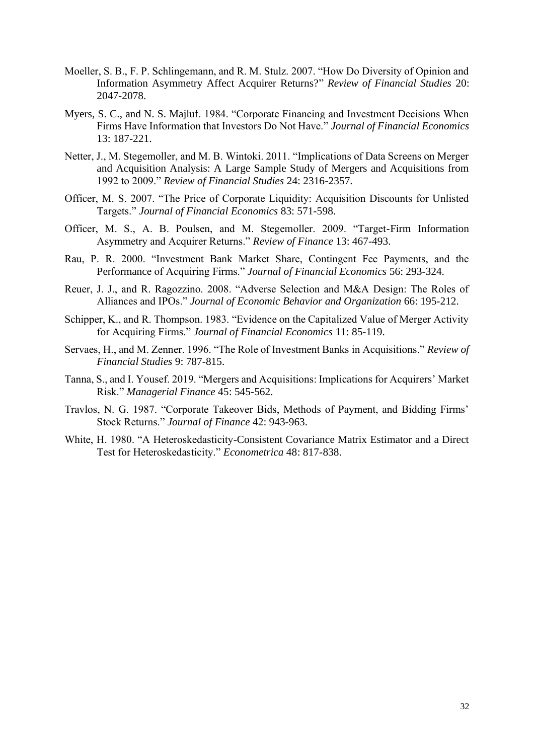- Moeller, S. B., F. P. Schlingemann, and R. M. Stulz. 2007. "How Do Diversity of Opinion and Information Asymmetry Affect Acquirer Returns?" *Review of Financial Studies* 20: 2047-2078.
- Myers, S. C., and N. S. Majluf. 1984. "Corporate Financing and Investment Decisions When Firms Have Information that Investors Do Not Have." *Journal of Financial Economics* 13: 187-221.
- Netter, J., M. Stegemoller, and M. B. Wintoki. 2011. "Implications of Data Screens on Merger and Acquisition Analysis: A Large Sample Study of Mergers and Acquisitions from 1992 to 2009." *Review of Financial Studies* 24: 2316-2357.
- Officer, M. S. 2007. "The Price of Corporate Liquidity: Acquisition Discounts for Unlisted Targets." *Journal of Financial Economics* 83: 571-598.
- Officer, M. S., A. B. Poulsen, and M. Stegemoller. 2009. "Target-Firm Information Asymmetry and Acquirer Returns." *Review of Finance* 13: 467-493.
- Rau, P. R. 2000. "Investment Bank Market Share, Contingent Fee Payments, and the Performance of Acquiring Firms." *Journal of Financial Economics* 56: 293-324.
- Reuer, J. J., and R. Ragozzino. 2008. "Adverse Selection and M&A Design: The Roles of Alliances and IPOs." *Journal of Economic Behavior and Organization* 66: 195-212.
- Schipper, K., and R. Thompson. 1983. "Evidence on the Capitalized Value of Merger Activity for Acquiring Firms." *Journal of Financial Economics* 11: 85-119.
- Servaes, H., and M. Zenner. 1996. "The Role of Investment Banks in Acquisitions." *Review of Financial Studies* 9: 787-815.
- Tanna, S., and I. Yousef. 2019. "Mergers and Acquisitions: Implications for Acquirers' Market Risk." *Managerial Finance* 45: 545-562.
- Travlos, N. G. 1987. "Corporate Takeover Bids, Methods of Payment, and Bidding Firms' Stock Returns." *Journal of Finance* 42: 943-963.
- White, H. 1980. "A Heteroskedasticity-Consistent Covariance Matrix Estimator and a Direct Test for Heteroskedasticity." *Econometrica* 48: 817-838.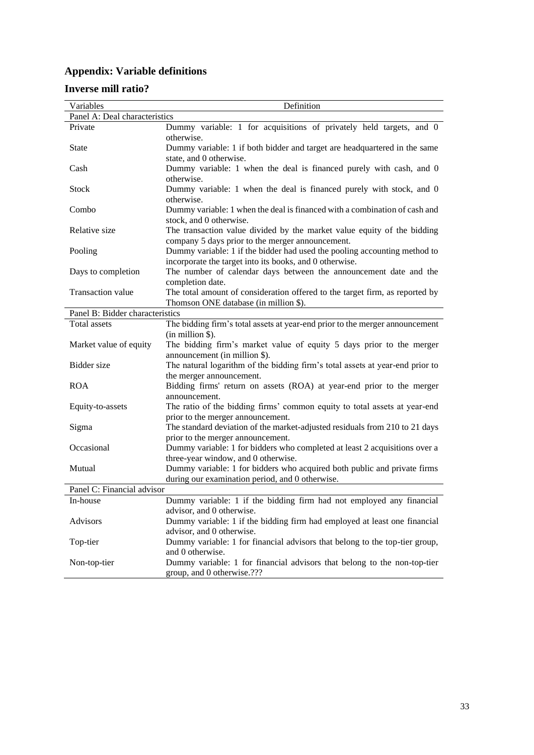## **Appendix: Variable definitions**

## **Inverse mill ratio?**

| Variables                       | Definition                                                                                                                  |
|---------------------------------|-----------------------------------------------------------------------------------------------------------------------------|
| Panel A: Deal characteristics   |                                                                                                                             |
| Private                         | Dummy variable: 1 for acquisitions of privately held targets, and 0                                                         |
|                                 | otherwise.                                                                                                                  |
| <b>State</b>                    | Dummy variable: 1 if both bidder and target are headquartered in the same                                                   |
|                                 | state, and 0 otherwise.                                                                                                     |
| Cash                            | Dummy variable: 1 when the deal is financed purely with cash, and 0<br>otherwise.                                           |
| <b>Stock</b>                    | Dummy variable: 1 when the deal is financed purely with stock, and 0                                                        |
|                                 | otherwise.                                                                                                                  |
| Combo                           | Dummy variable: 1 when the deal is financed with a combination of cash and                                                  |
|                                 | stock, and 0 otherwise.                                                                                                     |
| Relative size                   | The transaction value divided by the market value equity of the bidding                                                     |
|                                 | company 5 days prior to the merger announcement.                                                                            |
| Pooling                         | Dummy variable: 1 if the bidder had used the pooling accounting method to                                                   |
|                                 | incorporate the target into its books, and 0 otherwise.                                                                     |
| Days to completion              | The number of calendar days between the announcement date and the                                                           |
|                                 | completion date.                                                                                                            |
| Transaction value               | The total amount of consideration offered to the target firm, as reported by                                                |
|                                 | Thomson ONE database (in million \$).                                                                                       |
| Panel B: Bidder characteristics |                                                                                                                             |
| Total assets                    | The bidding firm's total assets at year-end prior to the merger announcement                                                |
|                                 | $(in$ million \$).                                                                                                          |
| Market value of equity          | The bidding firm's market value of equity 5 days prior to the merger                                                        |
|                                 | announcement (in million \$).                                                                                               |
| Bidder size                     | The natural logarithm of the bidding firm's total assets at year-end prior to                                               |
|                                 | the merger announcement.                                                                                                    |
| <b>ROA</b>                      | Bidding firms' return on assets (ROA) at year-end prior to the merger                                                       |
|                                 | announcement.                                                                                                               |
| Equity-to-assets                | The ratio of the bidding firms' common equity to total assets at year-end                                                   |
|                                 | prior to the merger announcement.                                                                                           |
| Sigma                           | The standard deviation of the market-adjusted residuals from 210 to 21 days                                                 |
| Occasional                      | prior to the merger announcement.                                                                                           |
|                                 | Dummy variable: 1 for bidders who completed at least 2 acquisitions over a                                                  |
|                                 | three-year window, and 0 otherwise.                                                                                         |
| Mutual                          | Dummy variable: 1 for bidders who acquired both public and private firms<br>during our examination period, and 0 otherwise. |
| Panel C: Financial advisor      |                                                                                                                             |
|                                 | Dummy variable: 1 if the bidding firm had not employed any financial                                                        |
| In-house                        |                                                                                                                             |
|                                 | advisor, and 0 otherwise.                                                                                                   |
| Advisors                        | Dummy variable: 1 if the bidding firm had employed at least one financial<br>advisor, and 0 otherwise.                      |
| Top-tier                        |                                                                                                                             |
|                                 | Dummy variable: 1 for financial advisors that belong to the top-tier group,<br>and 0 otherwise.                             |
| Non-top-tier                    | Dummy variable: 1 for financial advisors that belong to the non-top-tier                                                    |
|                                 | group, and 0 otherwise.???                                                                                                  |
|                                 |                                                                                                                             |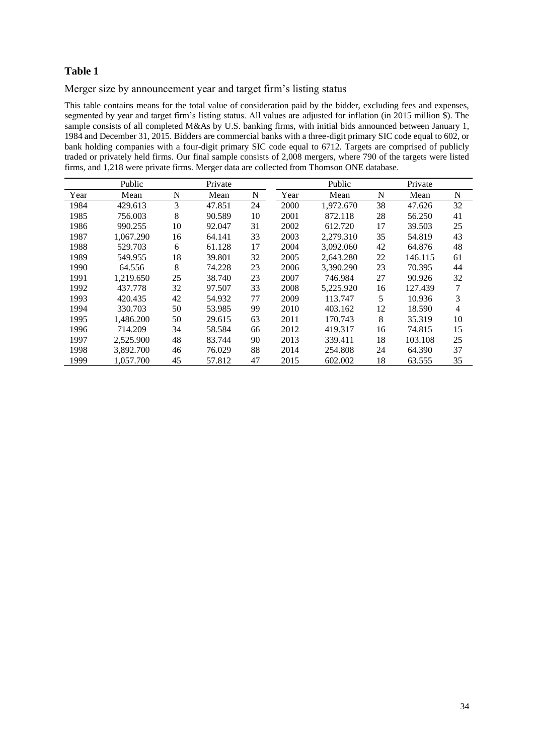Merger size by announcement year and target firm's listing status

This table contains means for the total value of consideration paid by the bidder, excluding fees and expenses, segmented by year and target firm's listing status. All values are adjusted for inflation (in 2015 million \$). The sample consists of all completed M&As by U.S. banking firms, with initial bids announced between January 1, 1984 and December 31, 2015. Bidders are commercial banks with a three-digit primary SIC code equal to 602, or bank holding companies with a four-digit primary SIC code equal to 6712. Targets are comprised of publicly traded or privately held firms. Our final sample consists of 2,008 mergers, where 790 of the targets were listed firms, and 1,218 were private firms. Merger data are collected from Thomson ONE database.

|      | Public    |    | Private |    | Public |           |    | Private |                |
|------|-----------|----|---------|----|--------|-----------|----|---------|----------------|
| Year | Mean      | N  | Mean    | N  | Year   | Mean      | N  | Mean    | N              |
| 1984 | 429.613   | 3  | 47.851  | 24 | 2000   | 1.972.670 | 38 | 47.626  | 32             |
| 1985 | 756.003   | 8  | 90.589  | 10 | 2001   | 872.118   | 28 | 56.250  | 41             |
| 1986 | 990.255   | 10 | 92.047  | 31 | 2002   | 612.720   | 17 | 39.503  | 25             |
| 1987 | 1.067.290 | 16 | 64.141  | 33 | 2003   | 2.279.310 | 35 | 54.819  | 43             |
| 1988 | 529.703   | 6  | 61.128  | 17 | 2004   | 3.092.060 | 42 | 64.876  | 48             |
| 1989 | 549.955   | 18 | 39.801  | 32 | 2005   | 2,643.280 | 22 | 146.115 | 61             |
| 1990 | 64.556    | 8  | 74.228  | 23 | 2006   | 3.390.290 | 23 | 70.395  | 44             |
| 1991 | 1,219.650 | 25 | 38.740  | 23 | 2007   | 746.984   | 27 | 90.926  | 32             |
| 1992 | 437.778   | 32 | 97.507  | 33 | 2008   | 5.225.920 | 16 | 127.439 | 7              |
| 1993 | 420.435   | 42 | 54.932  | 77 | 2009   | 113.747   | 5  | 10.936  | 3              |
| 1994 | 330.703   | 50 | 53.985  | 99 | 2010   | 403.162   | 12 | 18.590  | $\overline{4}$ |
| 1995 | 1.486.200 | 50 | 29.615  | 63 | 2011   | 170.743   | 8  | 35.319  | 10             |
| 1996 | 714.209   | 34 | 58.584  | 66 | 2012   | 419.317   | 16 | 74.815  | 15             |
| 1997 | 2.525.900 | 48 | 83.744  | 90 | 2013   | 339.411   | 18 | 103.108 | 25             |
| 1998 | 3,892.700 | 46 | 76.029  | 88 | 2014   | 254.808   | 24 | 64.390  | 37             |
| 1999 | 1.057.700 | 45 | 57.812  | 47 | 2015   | 602.002   | 18 | 63.555  | 35             |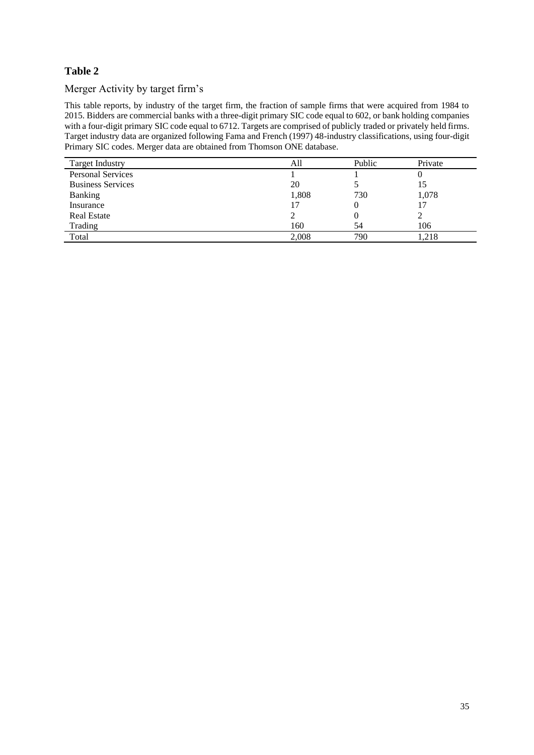## Merger Activity by target firm's

This table reports, by industry of the target firm, the fraction of sample firms that were acquired from 1984 to 2015. Bidders are commercial banks with a three-digit primary SIC code equal to 602, or bank holding companies with a four-digit primary SIC code equal to 6712. Targets are comprised of publicly traded or privately held firms. Target industry data are organized following Fama and French (1997) 48-industry classifications, using four-digit Primary SIC codes. Merger data are obtained from Thomson ONE database.

| <b>Target Industry</b>   | All   | Public | Private |
|--------------------------|-------|--------|---------|
| <b>Personal Services</b> |       |        |         |
| <b>Business Services</b> | 20    |        | 15      |
| <b>Banking</b>           | 1,808 | 730    | 1,078   |
| Insurance                | 17    |        |         |
| <b>Real Estate</b>       |       |        |         |
| Trading                  | 160   | 54     | 106     |
| Total                    | 2.008 | 790    | .218    |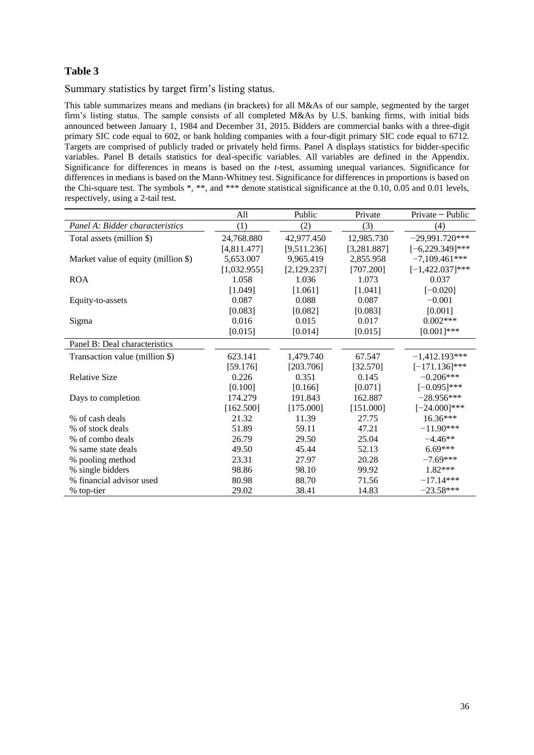Summary statistics by target firm's listing status.

This table summarizes means and medians (in brackets) for all M&As of our sample, segmented by the target firm's listing status. The sample consists of all completed M&As by U.S. banking firms, with initial bids announced between January 1, 1984 and December 31, 2015. Bidders are commercial banks with a three-digit primary SIC code equal to 602, or bank holding companies with a four-digit primary SIC code equal to 6712. Targets are comprised of publicly traded or privately held firms. Panel A displays statistics for bidder-specific variables. Panel B details statistics for deal-specific variables. All variables are defined in the Appendix. Significance for differences in means is based on the *t*-test, assuming unequal variances. Significance for differences in medians is based on the Mann-Whitney test. Significance for differences in proportions is based on the Chi-square test. The symbols \*, \*\*, and \*\*\* denote statistical significance at the 0.10, 0.05 and 0.01 levels, respectively, using a 2-tail test.

|                                     | All         | Public       | Private      | Private – Public   |
|-------------------------------------|-------------|--------------|--------------|--------------------|
| Panel A: Bidder characteristics     | (1)         | (2)          | (3)          | (4)                |
| Total assets (million \$)           | 24,768.880  | 42,977.450   | 12,985.730   | $-29,991.720***$   |
|                                     | [4,811.477] | [9,511.236]  | [3, 281.887] | $[-6,229.349]$ *** |
| Market value of equity (million \$) | 5,653.007   | 9,965.419    | 2,855.958    | $-7,109.461***$    |
|                                     | [1,032.955] | [2, 129.237] | [707.200]    | $[-1,422.037]$ *** |
| <b>ROA</b>                          | 1.058       | 1.036        | 1.073        | 0.037              |
|                                     | [1.049]     | [1.061]      | [1.041]      | $[-0.020]$         |
| Equity-to-assets                    | 0.087       | 0.088        | 0.087        | $-0.001$           |
|                                     | [0.083]     | [0.082]      | [0.083]      | [0.001]            |
| Sigma                               | 0.016       | 0.015        | 0.017        | $0.002***$         |
|                                     | [0.015]     | [0.014]      | [0.015]      | $[0.001]$ ***      |
| Panel B: Deal characteristics       |             |              |              |                    |
| Transaction value (million \$)      | 623.141     | 1,479.740    | 67.547       | $-1,412.193***$    |
|                                     | [59.176]    | [203.706]    | [32.570]     | $[-171.136]$ ***   |
| <b>Relative Size</b>                | 0.226       | 0.351        | 0.145        | $-0.206***$        |
|                                     | [0.100]     | [0.166]      | [0.071]      | $[-0.095]$ ***     |
| Days to completion                  | 174.279     | 191.843      | 162.887      | $-28.956***$       |
|                                     | [162.500]   | [175.000]    | [151.000]    | $[-24.000]$ ***    |
| % of cash deals                     | 21.32       | 11.39        | 27.75        | 16.36***           |
| % of stock deals                    | 51.89       | 59.11        | 47.21        | $-11.90***$        |
| % of combo deals                    | 26.79       | 29.50        | 25.04        | $-4.46**$          |
| % same state deals                  | 49.50       | 45.44        | 52.13        | $6.69***$          |
| % pooling method                    | 23.31       | 27.97        | 20.28        | $-7.69***$         |
| % single bidders                    | 98.86       | 98.10        | 99.92        | 1.82***            |
| % financial advisor used            | 80.98       | 88.70        | 71.56        | $-17.14***$        |
| % top-tier                          | 29.02       | 38.41        | 14.83        | $-23.58***$        |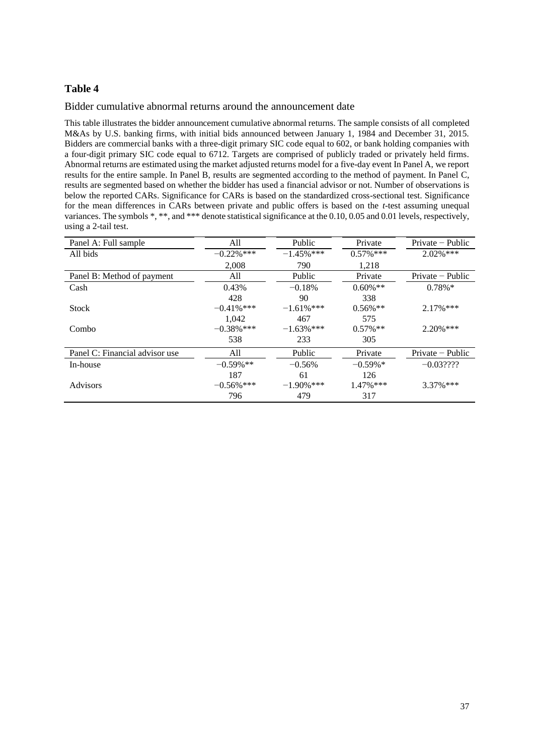## Bidder cumulative abnormal returns around the announcement date

This table illustrates the bidder announcement cumulative abnormal returns. The sample consists of all completed M&As by U.S. banking firms, with initial bids announced between January 1, 1984 and December 31, 2015. Bidders are commercial banks with a three-digit primary SIC code equal to 602, or bank holding companies with a four-digit primary SIC code equal to 6712. Targets are comprised of publicly traded or privately held firms. Abnormal returns are estimated using the market adjusted returns model for a five-day event In Panel A, we report results for the entire sample. In Panel B, results are segmented according to the method of payment. In Panel C, results are segmented based on whether the bidder has used a financial advisor or not. Number of observations is below the reported CARs. Significance for CARs is based on the standardized cross-sectional test. Significance for the mean differences in CARs between private and public offers is based on the *t*-test assuming unequal variances. The symbols \*, \*\*, and \*\*\* denote statistical significance at the 0.10, 0.05 and 0.01 levels, respectively, using a 2-tail test.

| Panel A: Full sample           | All           | Public        | Private      | $Private$ - Public |
|--------------------------------|---------------|---------------|--------------|--------------------|
| All bids                       | $-0.22\%$ *** | $-1.45%$ ***  | $0.57\%***$  | $2.02\%$ ***       |
|                                | 2.008         | 790           | 1.218        |                    |
| Panel B: Method of payment     | All           | Public        | Private      | $Private - Public$ |
| Cash                           | 0.43%         | $-0.18%$      | $0.60\%$ **  | $0.78\%*$          |
|                                | 428           | 90            | 338          |                    |
| <b>Stock</b>                   | $-0.41\%$ *** | $-1.61\%$ *** | $0.56\%**$   | $2.17\%$ ***       |
|                                | 1.042         | 467           | 575          |                    |
| Combo                          | $-0.38\%$ *** | $-1.63\%$ *** | $0.57\%$ **  | $2.20\%$ ***       |
|                                | 538           | 233           | 305          |                    |
| Panel C: Financial advisor use | All           | Public        | Private      | $Private - Public$ |
| In-house                       | $-0.59\%$ **  | $-0.56%$      | $-0.59\%$ *  | $-0.03????$        |
|                                | 187           | 61            | 126          |                    |
| Advisors                       | $-0.56\%$ *** | $-1.90\%$ *** | $1.47\%$ *** | $3.37\%$ ***       |
|                                | 796           | 479           | 317          |                    |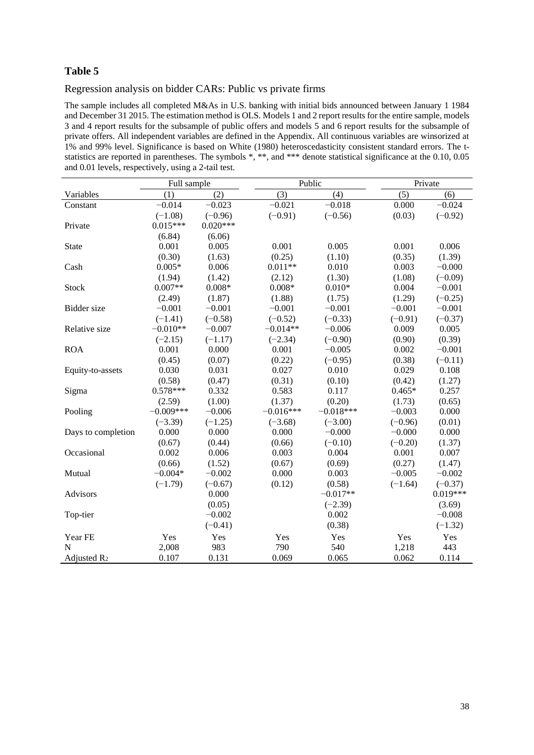## Regression analysis on bidder CARs: Public vs private firms

The sample includes all completed M&As in U.S. banking with initial bids announced between January 1 1984 and December 31 2015. The estimation method is OLS. Models 1 and 2 report results for the entire sample, models 3 and 4 report results for the subsample of public offers and models 5 and 6 report results for the subsample of private offers. All independent variables are defined in the Appendix. All continuous variables are winsorized at 1% and 99% level. Significance is based on White (1980) heteroscedasticity consistent standard errors. The tstatistics are reported in parentheses. The symbols \*, \*\*, and \*\*\* denote statistical significance at the 0.10, 0.05 and 0.01 levels, respectively, using a 2-tail test.

|                         | Full sample |            |             | Public      |           | Private    |
|-------------------------|-------------|------------|-------------|-------------|-----------|------------|
| Variables               | (1)         | (2)        | (3)         | (4)         | (5)       | (6)        |
| Constant                | $-0.014$    | $-0.023$   | $-0.021$    | $-0.018$    | 0.000     | $-0.024$   |
|                         | $(-1.08)$   | $(-0.96)$  | $(-0.91)$   | $(-0.56)$   | (0.03)    | $(-0.92)$  |
| Private                 | $0.015***$  | $0.020***$ |             |             |           |            |
|                         | (6.84)      | (6.06)     |             |             |           |            |
| State                   | 0.001       | 0.005      | 0.001       | 0.005       | 0.001     | 0.006      |
|                         | (0.30)      | (1.63)     | (0.25)      | (1.10)      | (0.35)    | (1.39)     |
| Cash                    | $0.005*$    | 0.006      | $0.011**$   | 0.010       | 0.003     | $-0.000$   |
|                         | (1.94)      | (1.42)     | (2.12)      | (1.30)      | (1.08)    | $(-0.09)$  |
| Stock                   | $0.007**$   | $0.008*$   | $0.008*$    | $0.010*$    | 0.004     | $-0.001$   |
|                         | (2.49)      | (1.87)     | (1.88)      | (1.75)      | (1.29)    | $(-0.25)$  |
| <b>Bidder</b> size      | $-0.001$    | $-0.001$   | $-0.001$    | $-0.001$    | $-0.001$  | $-0.001$   |
|                         | $(-1.41)$   | $(-0.58)$  | $(-0.52)$   | $(-0.33)$   | $(-0.91)$ | $(-0.37)$  |
| Relative size           | $-0.010**$  | $-0.007$   | $-0.014**$  | $-0.006$    | 0.009     | 0.005      |
|                         | $(-2.15)$   | $(-1.17)$  | $(-2.34)$   | $(-0.90)$   | (0.90)    | (0.39)     |
| <b>ROA</b>              | 0.001       | 0.000      | 0.001       | $-0.005$    | 0.002     | $-0.001$   |
|                         | (0.45)      | (0.07)     | (0.22)      | $(-0.95)$   | (0.38)    | $(-0.11)$  |
| Equity-to-assets        | 0.030       | 0.031      | 0.027       | 0.010       | 0.029     | 0.108      |
|                         | (0.58)      | (0.47)     | (0.31)      | (0.10)      | (0.42)    | (1.27)     |
| Sigma                   | $0.578***$  | 0.332      | 0.583       | 0.117       | $0.465*$  | 0.257      |
|                         | (2.59)      | (1.00)     | (1.37)      | (0.20)      | (1.73)    | (0.65)     |
| Pooling                 | $-0.009***$ | $-0.006$   | $-0.016***$ | $-0.018***$ | $-0.003$  | 0.000      |
|                         | $(-3.39)$   | $(-1.25)$  | $(-3.68)$   | $(-3.00)$   | $(-0.96)$ | (0.01)     |
| Days to completion      | 0.000       | 0.000      | 0.000       | $-0.000$    | $-0.000$  | 0.000      |
|                         | (0.67)      | (0.44)     | (0.66)      | $(-0.10)$   | $(-0.20)$ | (1.37)     |
| Occasional              | 0.002       | 0.006      | 0.003       | 0.004       | 0.001     | 0.007      |
|                         | (0.66)      | (1.52)     | (0.67)      | (0.69)      | (0.27)    | (1.47)     |
| Mutual                  | $-0.004*$   | $-0.002$   | 0.000       | 0.003       | $-0.005$  | $-0.002$   |
|                         | $(-1.79)$   | $(-0.67)$  | (0.12)      | (0.58)      | $(-1.64)$ | $(-0.37)$  |
| Advisors                |             | 0.000      |             | $-0.017**$  |           | $0.019***$ |
|                         |             | (0.05)     |             | $(-2.39)$   |           | (3.69)     |
| Top-tier                |             | $-0.002$   |             | 0.002       |           | $-0.008$   |
|                         |             | $(-0.41)$  |             | (0.38)      |           | $(-1.32)$  |
| Year FE                 | Yes         | Yes        | Yes         | Yes         | Yes       | Yes        |
| N                       | 2,008       | 983        | 790         | 540         | 1,218     | 443        |
| Adjusted R <sub>2</sub> | 0.107       | 0.131      | 0.069       | 0.065       | 0.062     | 0.114      |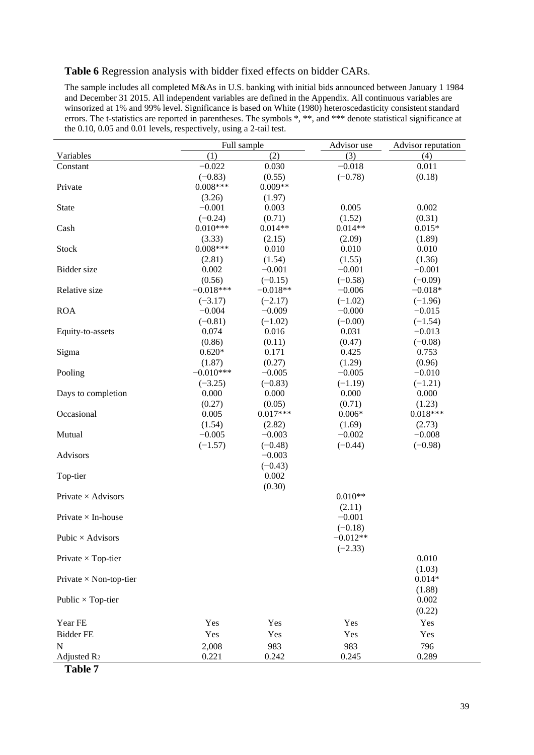## **Table 6** Regression analysis with bidder fixed effects on bidder CARs.

The sample includes all completed M&As in U.S. banking with initial bids announced between January 1 1984 and December 31 2015. All independent variables are defined in the Appendix. All continuous variables are winsorized at 1% and 99% level. Significance is based on White (1980) heteroscedasticity consistent standard errors. The t-statistics are reported in parentheses. The symbols \*, \*\*, and \*\*\* denote statistical significance at the 0.10, 0.05 and 0.01 levels, respectively, using a 2-tail test.

|                               |             | Full sample |            | Advisor reputation |
|-------------------------------|-------------|-------------|------------|--------------------|
| Variables                     | (1)         | (2)         | (3)        | (4)                |
| Constant                      | $-0.022$    | 0.030       | $-0.018$   | 0.011              |
|                               | $(-0.83)$   | (0.55)      | $(-0.78)$  | (0.18)             |
| Private                       | $0.008***$  | $0.009**$   |            |                    |
|                               | (3.26)      | (1.97)      |            |                    |
| <b>State</b>                  | $-0.001$    | 0.003       | 0.005      | 0.002              |
|                               | $(-0.24)$   | (0.71)      | (1.52)     | (0.31)             |
| Cash                          | $0.010***$  | $0.014**$   | $0.014**$  | $0.015*$           |
|                               | (3.33)      | (2.15)      | (2.09)     | (1.89)             |
| Stock                         | $0.008***$  | 0.010       | 0.010      | 0.010              |
|                               | (2.81)      | (1.54)      | (1.55)     | (1.36)             |
| Bidder size                   | 0.002       | $-0.001$    | $-0.001$   | $-0.001$           |
|                               | (0.56)      | $(-0.15)$   | $(-0.58)$  | $(-0.09)$          |
| Relative size                 | $-0.018***$ | $-0.018**$  | $-0.006$   | $-0.018*$          |
|                               | $(-3.17)$   | $(-2.17)$   | $(-1.02)$  | $(-1.96)$          |
| <b>ROA</b>                    | $-0.004$    | $-0.009$    | $-0.000$   | $-0.015$           |
|                               | $(-0.81)$   | $(-1.02)$   | $(-0.00)$  | $(-1.54)$          |
| Equity-to-assets              | 0.074       | 0.016       | 0.031      | $-0.013$           |
|                               | (0.86)      | (0.11)      | (0.47)     | $(-0.08)$          |
| Sigma                         | $0.620*$    | 0.171       | 0.425      | 0.753              |
|                               | (1.87)      | (0.27)      | (1.29)     | (0.96)             |
| Pooling                       | $-0.010***$ | $-0.005$    | $-0.005$   | $-0.010$           |
|                               | $(-3.25)$   | $(-0.83)$   | $(-1.19)$  | $(-1.21)$          |
| Days to completion            | 0.000       | 0.000       | 0.000      | 0.000              |
|                               | (0.27)      | (0.05)      | (0.71)     | (1.23)             |
| Occasional                    | 0.005       | $0.017***$  | $0.006*$   | $0.018***$         |
|                               | (1.54)      | (2.82)      | (1.69)     | (2.73)             |
| Mutual                        | $-0.005$    | $-0.003$    | $-0.002$   | $-0.008$           |
|                               | $(-1.57)$   | $(-0.48)$   | $(-0.44)$  | $(-0.98)$          |
| Advisors                      |             | $-0.003$    |            |                    |
|                               |             | $(-0.43)$   |            |                    |
| Top-tier                      |             | 0.002       |            |                    |
|                               |             | (0.30)      |            |                    |
| Private $\times$ Advisors     |             |             | $0.010**$  |                    |
|                               |             |             | (2.11)     |                    |
| Private $\times$ In-house     |             |             | $-0.001$   |                    |
|                               |             |             | $(-0.18)$  |                    |
| Pubic $\times$ Advisors       |             |             | $-0.012**$ |                    |
|                               |             |             | $(-2.33)$  |                    |
| Private $\times$ Top-tier     |             |             |            | 0.010              |
|                               |             |             |            | (1.03)             |
| Private $\times$ Non-top-tier |             |             |            | $0.014*$           |
|                               |             |             |            | (1.88)<br>0.002    |
| Public $\times$ Top-tier      |             |             |            |                    |
|                               |             |             |            | (0.22)             |
| Year FE                       | Yes         | Yes         | Yes        | Yes                |
| <b>Bidder FE</b>              | Yes         | Yes         | Yes        | Yes                |
| N                             | 2,008       | 983         | 983        | 796                |
| Adjusted R <sub>2</sub>       | 0.221       | 0.242       | 0.245      | 0.289              |

**Table 7**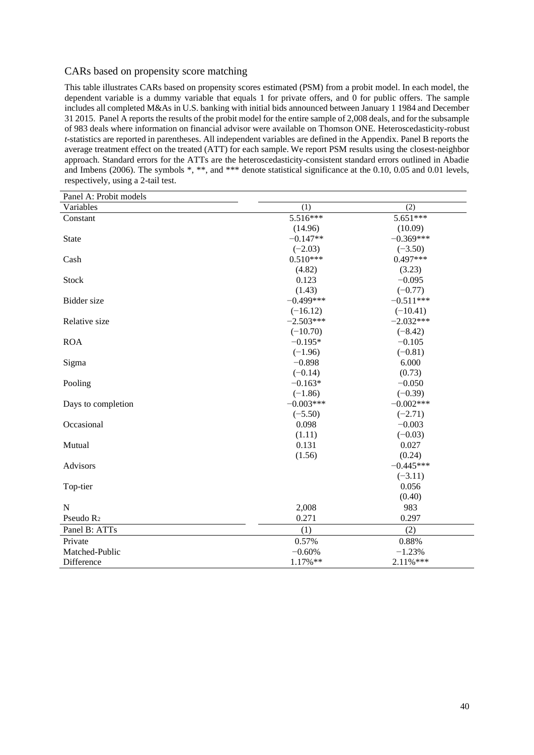## CARs based on propensity score matching

This table illustrates CARs based on propensity scores estimated (PSM) from a probit model. In each model, the dependent variable is a dummy variable that equals 1 for private offers, and 0 for public offers. The sample includes all completed M&As in U.S. banking with initial bids announced between January 1 1984 and December 31 2015. Panel A reports the results of the probit model for the entire sample of 2,008 deals, and for the subsample of 983 deals where information on financial advisor were available on Thomson ONE. Heteroscedasticity-robust *t*-statistics are reported in parentheses. All independent variables are defined in the Appendix. Panel B reports the average treatment effect on the treated (ATT) for each sample. We report PSM results using the closest-neighbor approach. Standard errors for the ATTs are the heteroscedasticity-consistent standard errors outlined in Abadie and Imbens (2006). The symbols \*, \*\*, and \*\*\* denote statistical significance at the 0.10, 0.05 and 0.01 levels, respectively, using a 2-tail test.

| Panel A: Probit models |             |             |
|------------------------|-------------|-------------|
| Variables              | (1)         | (2)         |
| Constant               | 5.516***    | 5.651***    |
|                        | (14.96)     | (10.09)     |
| <b>State</b>           | $-0.147**$  | $-0.369***$ |
|                        | $(-2.03)$   | $(-3.50)$   |
| Cash                   | $0.510***$  | $0.497***$  |
|                        | (4.82)      | (3.23)      |
| <b>Stock</b>           | 0.123       | $-0.095$    |
|                        | (1.43)      | $(-0.77)$   |
| Bidder size            | $-0.499***$ | $-0.511***$ |
|                        | $(-16.12)$  | $(-10.41)$  |
| Relative size          | $-2.503***$ | $-2.032***$ |
|                        | $(-10.70)$  | $(-8.42)$   |
| <b>ROA</b>             | $-0.195*$   | $-0.105$    |
|                        | $(-1.96)$   | $(-0.81)$   |
| Sigma                  | $-0.898$    | 6.000       |
|                        | $(-0.14)$   | (0.73)      |
| Pooling                | $-0.163*$   | $-0.050$    |
|                        | $(-1.86)$   | $(-0.39)$   |
| Days to completion     | $-0.003***$ | $-0.002***$ |
|                        | $(-5.50)$   | $(-2.71)$   |
| Occasional             | 0.098       | $-0.003$    |
|                        | (1.11)      | $(-0.03)$   |
| Mutual                 | 0.131       | 0.027       |
|                        | (1.56)      | (0.24)      |
| Advisors               |             | $-0.445***$ |
|                        |             | $(-3.11)$   |
| Top-tier               |             | 0.056       |
|                        |             | (0.40)      |
| N                      | 2,008       | 983         |
| Pseudo R <sub>2</sub>  | 0.271       | 0.297       |
| Panel B: ATTs          | (1)         | (2)         |
| Private                | 0.57%       | 0.88%       |
| Matched-Public         | $-0.60%$    | $-1.23%$    |
| Difference             | 1.17%**     | 2.11%***    |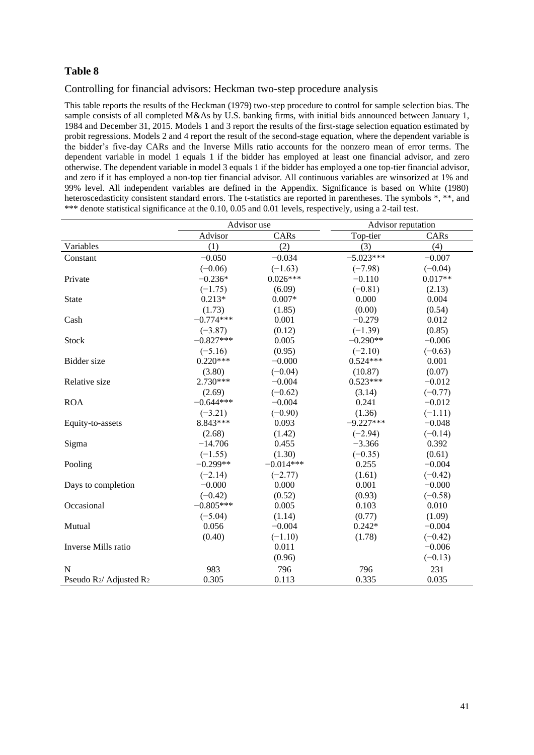## Controlling for financial advisors: Heckman two-step procedure analysis

This table reports the results of the Heckman (1979) two-step procedure to control for sample selection bias. The sample consists of all completed M&As by U.S. banking firms, with initial bids announced between January 1, 1984 and December 31, 2015. Models 1 and 3 report the results of the first-stage selection equation estimated by probit regressions. Models 2 and 4 report the result of the second-stage equation, where the dependent variable is the bidder's five-day CARs and the Inverse Mills ratio accounts for the nonzero mean of error terms. The dependent variable in model 1 equals 1 if the bidder has employed at least one financial advisor, and zero otherwise. The dependent variable in model 3 equals 1 if the bidder has employed a one top-tier financial advisor, and zero if it has employed a non-top tier financial advisor. All continuous variables are winsorized at 1% and 99% level. All independent variables are defined in the Appendix. Significance is based on White (1980) heteroscedasticity consistent standard errors. The t-statistics are reported in parentheses. The symbols  $*, **$ , and \*\*\* denote statistical significance at the 0.10, 0.05 and 0.01 levels, respectively, using a 2-tail test.

|                        |             | Advisor use | Advisor reputation |           |
|------------------------|-------------|-------------|--------------------|-----------|
|                        | Advisor     | CARs        | Top-tier           | CARs      |
| Variables              | (1)         | (2)         | (3)                | (4)       |
| Constant               | $-0.050$    | $-0.034$    | $-5.023***$        | $-0.007$  |
|                        | $(-0.06)$   | $(-1.63)$   | $(-7.98)$          | $(-0.04)$ |
| Private                | $-0.236*$   | $0.026***$  | $-0.110$           | $0.017**$ |
|                        | $(-1.75)$   | (6.09)      | $(-0.81)$          | (2.13)    |
| <b>State</b>           | $0.213*$    | $0.007*$    | 0.000              | 0.004     |
|                        | (1.73)      | (1.85)      | (0.00)             | (0.54)    |
| Cash                   | $-0.774***$ | 0.001       | $-0.279$           | 0.012     |
|                        | $(-3.87)$   | (0.12)      | $(-1.39)$          | (0.85)    |
| Stock                  | $-0.827***$ | 0.005       | $-0.290**$         | $-0.006$  |
|                        | $(-5.16)$   | (0.95)      | $(-2.10)$          | $(-0.63)$ |
| Bidder size            | $0.220***$  | $-0.000$    | $0.524***$         | 0.001     |
|                        | (3.80)      | $(-0.04)$   | (10.87)            | (0.07)    |
| Relative size          | 2.730***    | $-0.004$    | $0.523***$         | $-0.012$  |
|                        | (2.69)      | $(-0.62)$   | (3.14)             | $(-0.77)$ |
| <b>ROA</b>             | $-0.644***$ | $-0.004$    | 0.241              | $-0.012$  |
|                        | $(-3.21)$   | $(-0.90)$   | (1.36)             | $(-1.11)$ |
| Equity-to-assets       | 8.843***    | 0.093       | $-9.227***$        | $-0.048$  |
|                        | (2.68)      | (1.42)      | $(-2.94)$          | $(-0.14)$ |
| Sigma                  | $-14.706$   | 0.455       | $-3.366$           | 0.392     |
|                        | $(-1.55)$   | (1.30)      | $(-0.35)$          | (0.61)    |
| Pooling                | $-0.299**$  | $-0.014***$ | 0.255              | $-0.004$  |
|                        | $(-2.14)$   | $(-2.77)$   | (1.61)             | $(-0.42)$ |
| Days to completion     | $-0.000$    | 0.000       | 0.001              | $-0.000$  |
|                        | $(-0.42)$   | (0.52)      | (0.93)             | $(-0.58)$ |
| Occasional             | $-0.805***$ | 0.005       | 0.103              | 0.010     |
|                        | $(-5.04)$   | (1.14)      | (0.77)             | (1.09)    |
| Mutual                 | 0.056       | $-0.004$    | $0.242*$           | $-0.004$  |
|                        | (0.40)      | $(-1.10)$   | (1.78)             | $(-0.42)$ |
| Inverse Mills ratio    |             | 0.011       |                    | $-0.006$  |
|                        |             | (0.96)      |                    | $(-0.13)$ |
| N                      | 983         | 796         | 796                | 231       |
| Pseudo R2/ Adjusted R2 | 0.305       | 0.113       | 0.335              | 0.035     |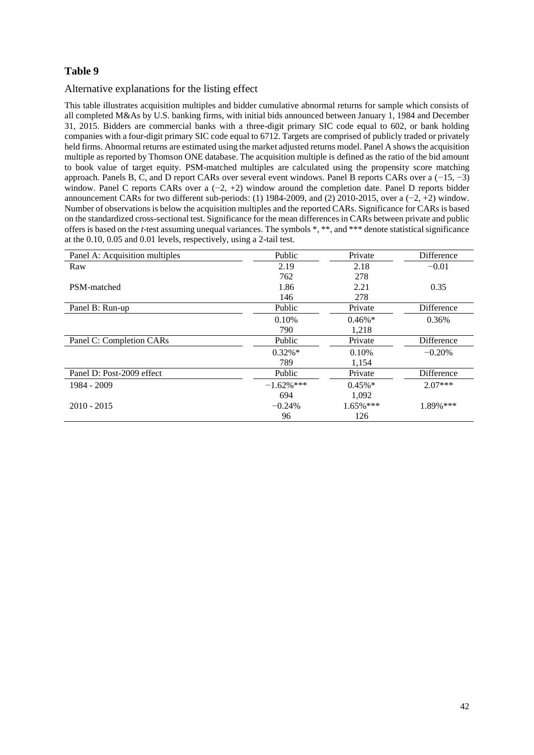## Alternative explanations for the listing effect

This table illustrates acquisition multiples and bidder cumulative abnormal returns for sample which consists of all completed M&As by U.S. banking firms, with initial bids announced between January 1, 1984 and December 31, 2015. Bidders are commercial banks with a three-digit primary SIC code equal to 602, or bank holding companies with a four-digit primary SIC code equal to 6712. Targets are comprised of publicly traded or privately held firms. Abnormal returns are estimated using the market adjusted returns model. Panel A shows the acquisition multiple as reported by Thomson ONE database. The acquisition multiple is defined as the ratio of the bid amount to book value of target equity. PSM-matched multiples are calculated using the propensity score matching approach. Panels B, C, and D report CARs over several event windows. Panel B reports CARs over a (−15, −3) window. Panel C reports CARs over a (−2, +2) window around the completion date. Panel D reports bidder announcement CARs for two different sub-periods: (1) 1984-2009, and (2) 2010-2015, over a (−2, +2) window. Number of observations is below the acquisition multiples and the reported CARs. Significance for CARs is based on the standardized cross-sectional test. Significance for the mean differences in CARs between private and public offers is based on the *t*-test assuming unequal variances. The symbols \*, \*\*, and \*\*\* denote statistical significance at the 0.10, 0.05 and 0.01 levels, respectively, using a 2-tail test.

| Panel A: Acquisition multiples | Public        | Private      | Difference |
|--------------------------------|---------------|--------------|------------|
| Raw                            | 2.19          | 2.18         | $-0.01$    |
|                                | 762           | 278          |            |
| PSM-matched                    | 1.86          | 2.21         | 0.35       |
|                                | 146           | 278          |            |
| Panel B: Run-up                | Public        | Private      | Difference |
|                                | 0.10%         | $0.46\%$ *   | 0.36%      |
|                                | 790           | 1,218        |            |
| Panel C: Completion CARs       | <b>Public</b> | Private      | Difference |
|                                | $0.32\%*$     | 0.10%        | $-0.20%$   |
|                                | 789           | 1,154        |            |
| Panel D: Post-2009 effect      | Public        | Private      | Difference |
| 1984 - 2009                    | $-1.62%$ ***  | $0.45\%$ *   | $2.07***$  |
|                                | 694           | 1,092        |            |
| $2010 - 2015$                  | $-0.24%$      | $1.65\%$ *** | 1.89%***   |
|                                | 96            | 126          |            |